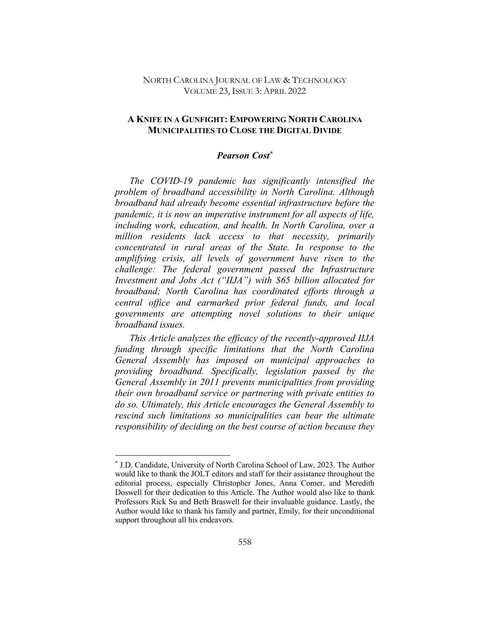### NORTH CAROLINA JOURNAL OF LAW & TECHNOLOGY VOLUME 23, ISSUE 3: APRIL 2022

## **A KNIFE IN A GUNFIGHT: EMPOWERING NORTH CAROLINA MUNICIPALITIES TO CLOSE THE DIGITAL DIVIDE**

# *Pearson Cost\**

*The COVID-19 pandemic has significantly intensified the problem of broadband accessibility in North Carolina. Although broadband had already become essential infrastructure before the pandemic, it is now an imperative instrument for all aspects of life, including work, education, and health. In North Carolina, over a million residents lack access to that necessity, primarily concentrated in rural areas of the State. In response to the amplifying crisis, all levels of government have risen to the challenge: The federal government passed the Infrastructure Investment and Jobs Act ("IIJA") with \$65 billion allocated for broadband; North Carolina has coordinated efforts through a central office and earmarked prior federal funds, and local governments are attempting novel solutions to their unique broadband issues.*

*This Article analyzes the efficacy of the recently-approved IIJA funding through specific limitations that the North Carolina General Assembly has imposed on municipal approaches to providing broadband. Specifically, legislation passed by the General Assembly in 2011 prevents municipalities from providing their own broadband service or partnering with private entities to do so. Ultimately, this Article encourages the General Assembly to rescind such limitations so municipalities can bear the ultimate responsibility of deciding on the best course of action because they* 

<sup>\*</sup> J.D. Candidate, University of North Carolina School of Law, 2023. The Author would like to thank the JOLT editors and staff for their assistance throughout the editorial process, especially Christopher Jones, Anna Comer, and Meredith Doswell for their dedication to this Article. The Author would also like to thank Professors Rick Su and Beth Braswell for their invaluable guidance. Lastly, the Author would like to thank his family and partner, Emily, for their unconditional support throughout all his endeavors.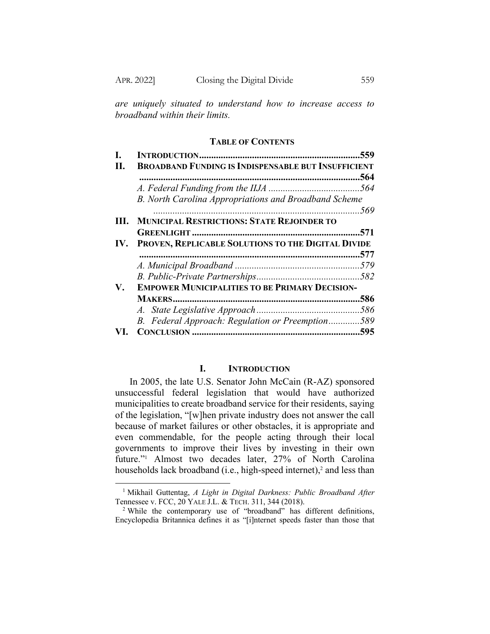*are uniquely situated to understand how to increase access to broadband within their limits.*

### **TABLE OF CONTENTS**

|     |                                                            | .559 |
|-----|------------------------------------------------------------|------|
| Н.  | <b>BROADBAND FUNDING IS INDISPENSABLE BUT INSUFFICIENT</b> |      |
|     |                                                            | .564 |
|     |                                                            |      |
|     | B. North Carolina Appropriations and Broadband Scheme      |      |
|     |                                                            |      |
| HL. | <b>MUNICIPAL RESTRICTIONS: STATE REJOINDER TO</b>          |      |
|     |                                                            | 571. |
|     | IV. PROVEN, REPLICABLE SOLUTIONS TO THE DIGITAL DIVIDE     |      |
|     |                                                            |      |
|     |                                                            |      |
|     |                                                            |      |
| V.  | <b>EMPOWER MUNICIPALITIES TO BE PRIMARY DECISION-</b>      |      |
|     |                                                            | .586 |
|     |                                                            |      |
|     | B. Federal Approach: Regulation or Preemption589           |      |
|     |                                                            |      |
|     |                                                            |      |

## **I. INTRODUCTION**

In 2005, the late U.S. Senator John McCain (R-AZ) sponsored unsuccessful federal legislation that would have authorized municipalities to create broadband service for their residents, saying of the legislation, "[w]hen private industry does not answer the call because of market failures or other obstacles, it is appropriate and even commendable, for the people acting through their local governments to improve their lives by investing in their own future."1 Almost two decades later, 27% of North Carolina households lack broadband (i.e., high-speed internet), <sup>2</sup> and less than

<sup>1</sup> Mikhail Guttentag, *A Light in Digital Darkness: Public Broadband After*  Tennessee v. FCC, 20 YALE J.L. & TECH. 311, 344 (2018).

<sup>&</sup>lt;sup>2</sup> While the contemporary use of "broadband" has different definitions, Encyclopedia Britannica defines it as "[i]nternet speeds faster than those that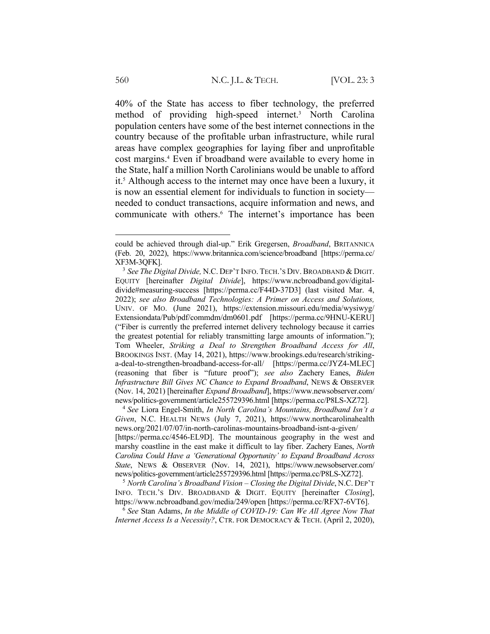40% of the State has access to fiber technology, the preferred method of providing high-speed internet.3 North Carolina population centers have some of the best internet connections in the country because of the profitable urban infrastructure, while rural areas have complex geographies for laying fiber and unprofitable cost margins.4 Even if broadband were available to every home in the State, half a million North Carolinians would be unable to afford it.<sup>5</sup> Although access to the internet may once have been a luxury, it is now an essential element for individuals to function in society needed to conduct transactions, acquire information and news, and communicate with others.6 The internet's importance has been

<sup>4</sup> *See* Liora Engel-Smith, *In North Carolina's Mountains, Broadband Isn't a Given*, N.C. HEALTH NEWS (July 7, 2021), https://www.northcarolinahealth news.org/2021/07/07/in-north-carolinas-mountains-broadband-isnt-a-given/ [https://perma.cc/4546-EL9D]. The mountainous geography in the west and marshy coastline in the east make it difficult to lay fiber. Zachery Eanes, *North Carolina Could Have a 'Generational Opportunity' to Expand Broadband Across State*, NEWS & OBSERVER (Nov. 14, 2021), https://www.newsobserver.com/ news/politics-government/article255729396.html [https://perma.cc/P8LS-XZ72].

<sup>5</sup> *North Carolina's Broadband Vision – Closing the Digital Divide*, N.C. DEP'T INFO. TECH.'S DIV. BROADBAND & DIGIT. EQUITY [hereinafter *Closing*], https://www.ncbroadband.gov/media/249/open [https://perma.cc/RFX7-6VT6].

<sup>6</sup> *See* Stan Adams, *In the Middle of COVID-19: Can We All Agree Now That Internet Access Is a Necessity?*, CTR. FOR DEMOCRACY & TECH. (April 2, 2020),

could be achieved through dial-up." Erik Gregersen, *Broadband*, BRITANNICA (Feb. 20, 2022), https://www.britannica.com/science/broadband [https://perma.cc/ XF3M-3QFK].

<sup>3</sup> *See The Digital Divide,* N.C. DEP'T INFO. TECH.'S DIV. BROADBAND & DIGIT. EQUITY [hereinafter *Digital Divide*], https://www.ncbroadband.gov/digitaldivide#measuring-success [https://perma.cc/F44D-37D3] (last visited Mar. 4, 2022); *see also Broadband Technologies: A Primer on Access and Solutions,*  UNIV. OF MO. (June 2021), https://extension.missouri.edu/media/wysiwyg/ Extensiondata/Pub/pdf/commdm/dm0601.pdf [https://perma.cc/9HNU-KERU] ("Fiber is currently the preferred internet delivery technology because it carries the greatest potential for reliably transmitting large amounts of information."); Tom Wheeler, *Striking a Deal to Strengthen Broadband Access for All*, BROOKINGS INST. (May 14, 2021), https://www.brookings.edu/research/strikinga-deal-to-strengthen-broadband-access-for-all/ [https://perma.cc/JYZ4-MLEC] (reasoning that fiber is "future proof"); *see also* Zachery Eanes, *Biden Infrastructure Bill Gives NC Chance to Expand Broadband*, NEWS & OBSERVER (Nov. 14, 2021) [hereinafter *Expand Broadband*], https://www.newsobserver.com/ news/politics-government/article255729396.html [https://perma.cc/P8LS-XZ72].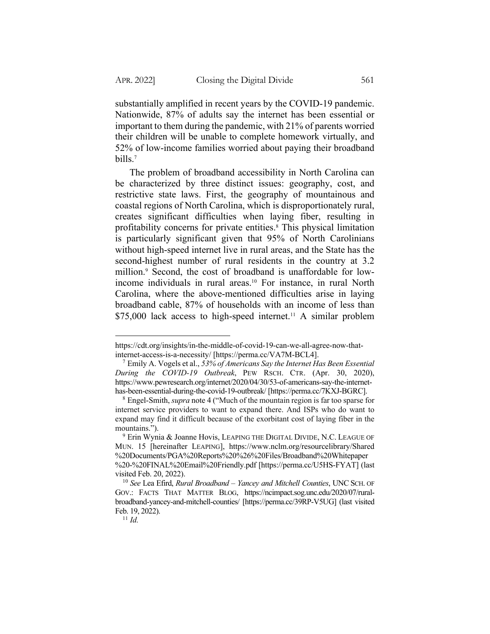substantially amplified in recent years by the COVID-19 pandemic. Nationwide, 87% of adults say the internet has been essential or important to them during the pandemic, with 21% of parents worried their children will be unable to complete homework virtually, and 52% of low-income families worried about paying their broadband bills.7

The problem of broadband accessibility in North Carolina can be characterized by three distinct issues: geography, cost, and restrictive state laws. First, the geography of mountainous and coastal regions of North Carolina, which is disproportionately rural, creates significant difficulties when laying fiber, resulting in profitability concerns for private entities.8 This physical limitation is particularly significant given that 95% of North Carolinians without high-speed internet live in rural areas, and the State has the second-highest number of rural residents in the country at 3.2 million.<sup>9</sup> Second, the cost of broadband is unaffordable for lowincome individuals in rural areas.10 For instance, in rural North Carolina, where the above-mentioned difficulties arise in laying broadband cable, 87% of households with an income of less than \$75,000 lack access to high-speed internet. <sup>11</sup> A similar problem

https://cdt.org/insights/in-the-middle-of-covid-19-can-we-all-agree-now-thatinternet-access-is-a-necessity/ [https://perma.cc/VA7M-BCL4].

<sup>7</sup> Emily A. Vogels et al., *53% of Americans Say the Internet Has Been Essential During the COVID-19 Outbreak*, PEW RSCH. CTR. (Apr. 30, 2020), https://www.pewresearch.org/internet/2020/04/30/53-of-americans-say-the-internethas-been-essential-during-the-covid-19-outbreak/ [https://perma.cc/7KXJ-BGRC].

<sup>8</sup> Engel-Smith, *supra* note 4 ("Much of the mountain region is far too sparse for internet service providers to want to expand there. And ISPs who do want to expand may find it difficult because of the exorbitant cost of laying fiber in the mountains.").

 $9$  Erin Wynia & Joanne Hovis, LEAPING THE DIGITAL DIVIDE, N.C. LEAGUE OF MUN. 15 [hereinafter LEAPING], https://www.nclm.org/resourcelibrary/Shared %20Documents/PGA%20Reports%20%26%20Files/Broadband%20Whitepaper %20-%20FINAL%20Email%20Friendly.pdf [https://perma.cc/U5HS-FYAT] (last visited Feb. 20, 2022).

<sup>10</sup> *See* Lea Efird, *Rural Broadband – Yancey and Mitchell Counties*, UNC SCH. OF GOV.: FACTS THAT MATTER BLOG, https://ncimpact.sog.unc.edu/2020/07/ruralbroadband-yancey-and-mitchell-counties/ [https://perma.cc/39RP-V5UG] (last visited Feb. 19, 2022).

<sup>11</sup> *Id.*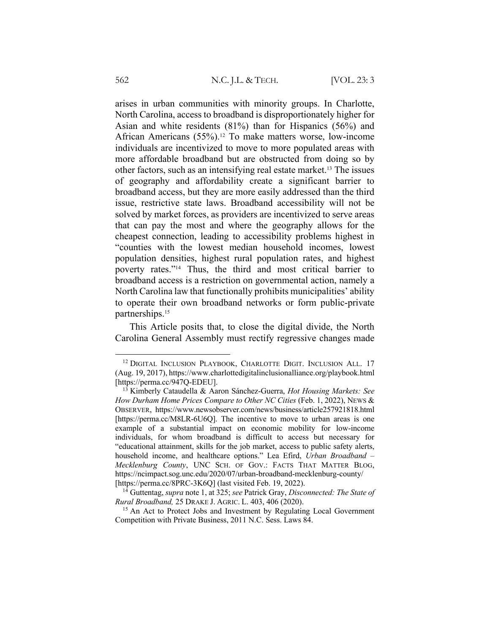arises in urban communities with minority groups. In Charlotte, North Carolina, access to broadband is disproportionately higher for Asian and white residents (81%) than for Hispanics (56%) and African Americans (55%).12 To make matters worse, low-income individuals are incentivized to move to more populated areas with more affordable broadband but are obstructed from doing so by other factors, such as an intensifying real estate market.13 The issues of geography and affordability create a significant barrier to broadband access, but they are more easily addressed than the third issue, restrictive state laws. Broadband accessibility will not be solved by market forces, as providers are incentivized to serve areas that can pay the most and where the geography allows for the cheapest connection, leading to accessibility problems highest in "counties with the lowest median household incomes, lowest population densities, highest rural population rates, and highest poverty rates."14 Thus, the third and most critical barrier to broadband access is a restriction on governmental action, namely a North Carolina law that functionally prohibits municipalities' ability to operate their own broadband networks or form public-private partnerships.15

This Article posits that, to close the digital divide, the North Carolina General Assembly must rectify regressive changes made

<sup>&</sup>lt;sup>12</sup> DIGITAL INCLUSION PLAYBOOK, CHARLOTTE DIGIT. INCLUSION ALL. 17 (Aug. 19, 2017), https://www.charlottedigitalinclusionalliance.org/playbook.html [https://perma.cc/947Q-EDEU].

<sup>13</sup> Kimberly Cataudella & Aaron Sánchez-Guerra, *Hot Housing Markets: See How Durham Home Prices Compare to Other NC Cities* (Feb. 1, 2022), NEWS & OBSERVER, https://www.newsobserver.com/news/business/article257921818.html [https://perma.cc/M8LR-6U6Q]. The incentive to move to urban areas is one example of a substantial impact on economic mobility for low-income individuals, for whom broadband is difficult to access but necessary for "educational attainment, skills for the job market, access to public safety alerts, household income, and healthcare options." Lea Efird, *Urban Broadband – Mecklenburg County*, UNC SCH. OF GOV.: FACTS THAT MATTER BLOG, https://ncimpact.sog.unc.edu/2020/07/urban-broadband-mecklenburg-county/ [https://perma.cc/8PRC-3K6Q] (last visited Feb. 19, 2022).

<sup>14</sup> Guttentag, *supra* note 1, at 325; *see* Patrick Gray, *Disconnected: The State of Rural Broadband,* 25 DRAKE J. AGRIC. L. 403, 406 (2020).

<sup>&</sup>lt;sup>15</sup> An Act to Protect Jobs and Investment by Regulating Local Government Competition with Private Business, 2011 N.C. Sess. Laws 84.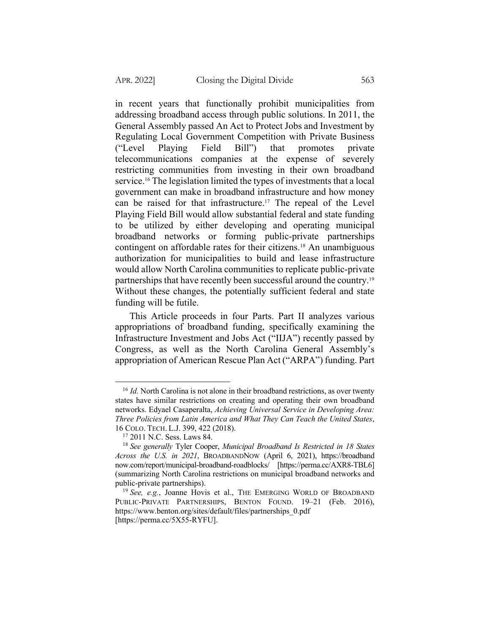in recent years that functionally prohibit municipalities from addressing broadband access through public solutions. In 2011, the General Assembly passed An Act to Protect Jobs and Investment by Regulating Local Government Competition with Private Business ("Level Playing Field Bill") that promotes private telecommunications companies at the expense of severely restricting communities from investing in their own broadband service.16 The legislation limited the types of investments that a local government can make in broadband infrastructure and how money can be raised for that infrastructure.17 The repeal of the Level Playing Field Bill would allow substantial federal and state funding to be utilized by either developing and operating municipal broadband networks or forming public-private partnerships contingent on affordable rates for their citizens.<sup>18</sup> An unambiguous authorization for municipalities to build and lease infrastructure would allow North Carolina communities to replicate public-private partnerships that have recently been successful around the country.19 Without these changes, the potentially sufficient federal and state funding will be futile.

This Article proceeds in four Parts. Part II analyzes various appropriations of broadband funding, specifically examining the Infrastructure Investment and Jobs Act ("IIJA") recently passed by Congress, as well as the North Carolina General Assembly's appropriation of American Rescue Plan Act ("ARPA") funding. Part

<sup>&</sup>lt;sup>16</sup> *Id.* North Carolina is not alone in their broadband restrictions, as over twenty states have similar restrictions on creating and operating their own broadband networks. Edyael Casaperalta, *Achieving Universal Service in Developing Area: Three Policies from Latin America and What They Can Teach the United States*, 16 COLO. TECH. L.J. 399, 422 (2018).

<sup>&</sup>lt;sup>17</sup> 2011 N.C. Sess. Laws 84.

<sup>18</sup> *See generally* Tyler Cooper, *Municipal Broadband Is Restricted in 18 States Across the U.S. in 2021*, BROADBANDNOW (April 6, 2021), https://broadband now.com/report/municipal-broadband-roadblocks/ [https://perma.cc/AXR8-TBL6] (summarizing North Carolina restrictions on municipal broadband networks and public-private partnerships).

<sup>&</sup>lt;sup>19</sup> See, e.g., Joanne Hovis et al., THE EMERGING WORLD OF BROADBAND PUBLIC-PRIVATE PARTNERSHIPS, BENTON FOUND. 19-21 (Feb. 2016), https://www.benton.org/sites/default/files/partnerships\_0.pdf [https://perma.cc/5X55-RYFU].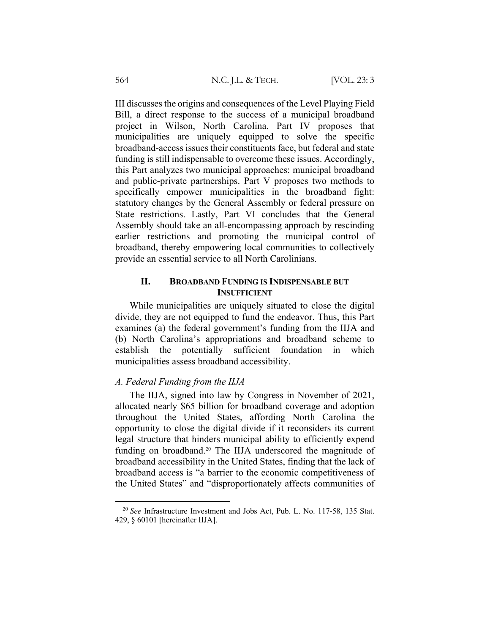III discusses the origins and consequences of the Level Playing Field Bill, a direct response to the success of a municipal broadband project in Wilson, North Carolina. Part IV proposes that municipalities are uniquely equipped to solve the specific broadband-access issues their constituents face, but federal and state funding is still indispensable to overcome these issues. Accordingly, this Part analyzes two municipal approaches: municipal broadband and public-private partnerships. Part V proposes two methods to specifically empower municipalities in the broadband fight: statutory changes by the General Assembly or federal pressure on State restrictions. Lastly, Part VI concludes that the General Assembly should take an all-encompassing approach by rescinding earlier restrictions and promoting the municipal control of broadband, thereby empowering local communities to collectively provide an essential service to all North Carolinians.

## **II. BROADBAND FUNDING IS INDISPENSABLE BUT INSUFFICIENT**

While municipalities are uniquely situated to close the digital divide, they are not equipped to fund the endeavor. Thus, this Part examines (a) the federal government's funding from the IIJA and (b) North Carolina's appropriations and broadband scheme to establish the potentially sufficient foundation in which municipalities assess broadband accessibility.

## *A. Federal Funding from the IIJA*

The IIJA, signed into law by Congress in November of 2021, allocated nearly \$65 billion for broadband coverage and adoption throughout the United States, affording North Carolina the opportunity to close the digital divide if it reconsiders its current legal structure that hinders municipal ability to efficiently expend funding on broadband.<sup>20</sup> The IIJA underscored the magnitude of broadband accessibility in the United States, finding that the lack of broadband access is "a barrier to the economic competitiveness of the United States" and "disproportionately affects communities of

<sup>20</sup> *See* Infrastructure Investment and Jobs Act, Pub. L. No. 117-58, 135 Stat. 429, § 60101 [hereinafter IIJA].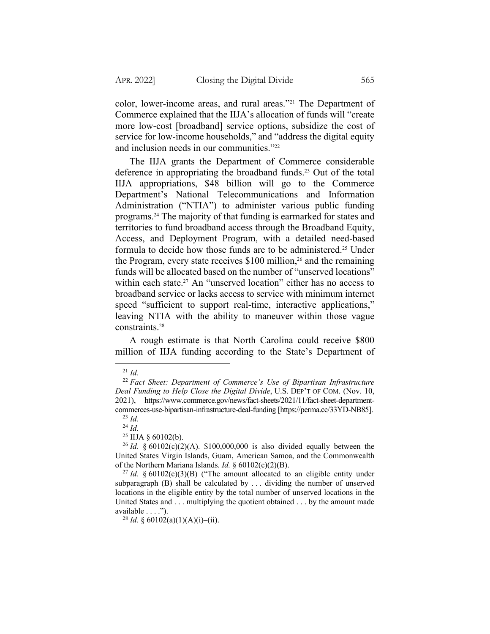color, lower-income areas, and rural areas."21 The Department of Commerce explained that the IIJA's allocation of funds will "create more low-cost [broadband] service options, subsidize the cost of service for low-income households," and "address the digital equity and inclusion needs in our communities."22

The IIJA grants the Department of Commerce considerable deference in appropriating the broadband funds.23 Out of the total IIJA appropriations, \$48 billion will go to the Commerce Department's National Telecommunications and Information Administration ("NTIA") to administer various public funding programs.24 The majority of that funding is earmarked for states and territories to fund broadband access through the Broadband Equity, Access, and Deployment Program, with a detailed need-based formula to decide how those funds are to be administered.25 Under the Program, every state receives  $$100$  million,<sup>26</sup> and the remaining funds will be allocated based on the number of "unserved locations" within each state.<sup>27</sup> An "unserved location" either has no access to broadband service or lacks access to service with minimum internet speed "sufficient to support real-time, interactive applications," leaving NTIA with the ability to maneuver within those vague constraints.28

A rough estimate is that North Carolina could receive \$800 million of IIJA funding according to the State's Department of

<sup>21</sup> *Id.*

<sup>22</sup> *Fact Sheet: Department of Commerce's Use of Bipartisan Infrastructure Deal Funding to Help Close the Digital Divide*, U.S. DEP'T OF COM. (Nov. 10, 2021), https://www.commerce.gov/news/fact-sheets/2021/11/fact-sheet-departmentcommerces-use-bipartisan-infrastructure-deal-funding [https://perma.cc/33YD-NB85]. <sup>23</sup> *Id.*

<sup>24</sup> *Id.*

 $25$  IIJA  $\delta$  60102(b).

<sup>&</sup>lt;sup>26</sup> *Id.* § 60102(c)(2)(A). \$100,000,000 is also divided equally between the United States Virgin Islands, Guam, American Samoa, and the Commonwealth of the Northern Mariana Islands. *Id.* § 60102(c)(2)(B).

<sup>&</sup>lt;sup>27</sup> *Id.* § 60102(c)(3)(B) ("The amount allocated to an eligible entity under subparagraph (B) shall be calculated by . . . dividing the number of unserved locations in the eligible entity by the total number of unserved locations in the United States and . . . multiplying the quotient obtained . . . by the amount made available . . . .").

<sup>&</sup>lt;sup>28</sup> *Id.* § 60102(a)(1)(A)(i)–(ii).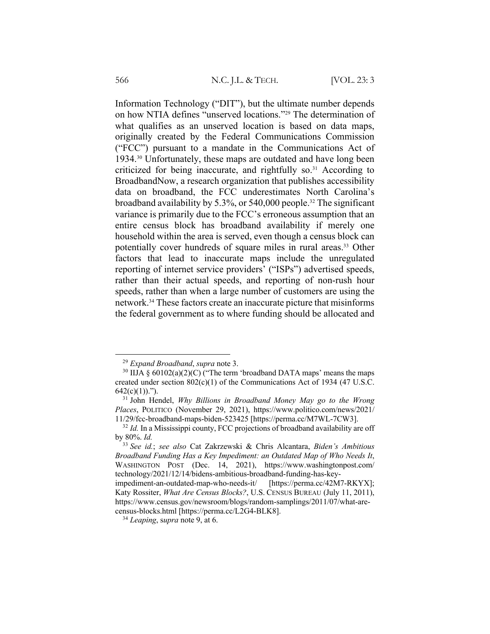Information Technology ("DIT"), but the ultimate number depends on how NTIA defines "unserved locations."29 The determination of what qualifies as an unserved location is based on data maps, originally created by the Federal Communications Commission ("FCC") pursuant to a mandate in the Communications Act of 1934.30 Unfortunately, these maps are outdated and have long been criticized for being inaccurate, and rightfully so.<sup>31</sup> According to BroadbandNow, a research organization that publishes accessibility data on broadband, the FCC underestimates North Carolina's broadband availability by 5.3%, or 540,000 people.32 The significant variance is primarily due to the FCC's erroneous assumption that an entire census block has broadband availability if merely one household within the area is served, even though a census block can potentially cover hundreds of square miles in rural areas.33 Other factors that lead to inaccurate maps include the unregulated reporting of internet service providers' ("ISPs") advertised speeds, rather than their actual speeds, and reporting of non-rush hour speeds, rather than when a large number of customers are using the network.34 These factors create an inaccurate picture that misinforms the federal government as to where funding should be allocated and

<sup>29</sup> *Expand Broadband*, *supra* note 3.

<sup>&</sup>lt;sup>30</sup> IIJA §  $60102(a)(2)(C)$  ("The term 'broadband DATA maps' means the maps created under section  $802(c)(1)$  of the Communications Act of 1934 (47 U.S.C.  $642(c)(1)$ .").

<sup>31</sup> John Hendel, *Why Billions in Broadband Money May go to the Wrong Places*, POLITICO (November 29, 2021), https://www.politico.com/news/2021/ 11/29/fcc-broadband-maps-biden-523425 [https://perma.cc/M7WL-7CW3].

<sup>&</sup>lt;sup>32</sup> *Id.* In a Mississippi county, FCC projections of broadband availability are off by 80%. *Id.*

<sup>33</sup> *See id.*; *see also* Cat Zakrzewski & Chris Alcantara, *Biden's Ambitious Broadband Funding Has a Key Impediment: an Outdated Map of Who Needs It*, WASHINGTON POST (Dec. 14, 2021), https://www.washingtonpost.com/ technology/2021/12/14/bidens-ambitious-broadband-funding-has-key-

impediment-an-outdated-map-who-needs-it/ [https://perma.cc/42M7-RKYX]; Katy Rossiter, *What Are Census Blocks?*, U.S. CENSUS BUREAU (July 11, 2011), https://www.census.gov/newsroom/blogs/random-samplings/2011/07/what-arecensus-blocks.html [https://perma.cc/L2G4-BLK8].

<sup>34</sup> *Leaping*, s*upra* note 9, at 6.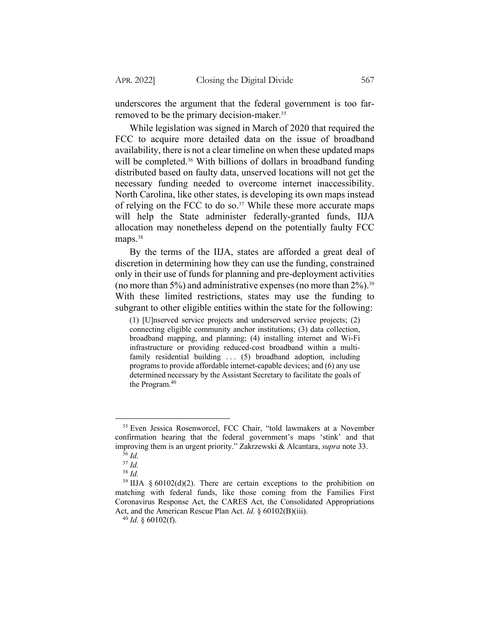underscores the argument that the federal government is too farremoved to be the primary decision-maker.35

While legislation was signed in March of 2020 that required the FCC to acquire more detailed data on the issue of broadband availability, there is not a clear timeline on when these updated maps will be completed.<sup>36</sup> With billions of dollars in broadband funding distributed based on faulty data, unserved locations will not get the necessary funding needed to overcome internet inaccessibility. North Carolina, like other states, is developing its own maps instead of relying on the FCC to do so.<sup>37</sup> While these more accurate maps will help the State administer federally-granted funds, IIJA allocation may nonetheless depend on the potentially faulty FCC maps.<sup>38</sup>

By the terms of the IIJA, states are afforded a great deal of discretion in determining how they can use the funding, constrained only in their use of funds for planning and pre-deployment activities (no more than 5%) and administrative expenses (no more than  $2\%$ ).<sup>39</sup> With these limited restrictions, states may use the funding to subgrant to other eligible entities within the state for the following:

(1) [U]nserved service projects and underserved service projects; (2) connecting eligible community anchor institutions; (3) data collection, broadband mapping, and planning; (4) installing internet and Wi-Fi infrastructure or providing reduced-cost broadband within a multifamily residential building ... (5) broadband adoption, including programs to provide affordable internet-capable devices; and (6) any use determined necessary by the Assistant Secretary to facilitate the goals of the Program.<sup>40</sup>

<sup>&</sup>lt;sup>35</sup> Even Jessica Rosenworcel, FCC Chair, "told lawmakers at a November confirmation hearing that the federal government's maps 'stink' and that improving them is an urgent priority." Zakrzewski & Alcantara, *supra* note 33.

<sup>36</sup> *Id.*

<sup>37</sup> *Id.*

<sup>38</sup> *Id.*

 $39$  IIJA § 60102(d)(2). There are certain exceptions to the prohibition on matching with federal funds, like those coming from the Families First Coronavirus Response Act, the CARES Act, the Consolidated Appropriations Act, and the American Rescue Plan Act. *Id.* § 60102(B)(iii).

<sup>40</sup> *Id.* § 60102(f).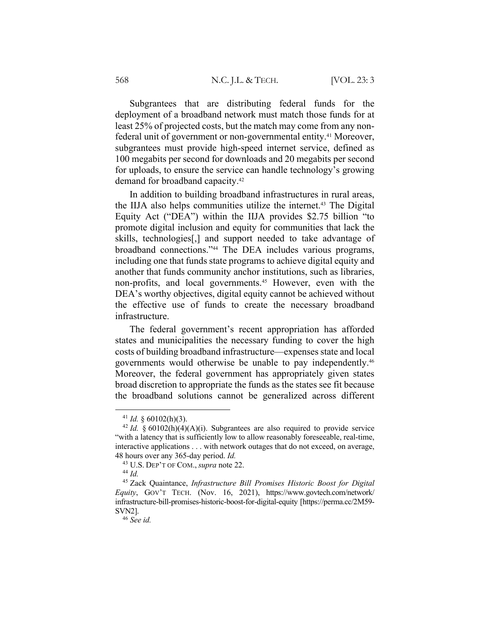Subgrantees that are distributing federal funds for the deployment of a broadband network must match those funds for at least 25% of projected costs, but the match may come from any nonfederal unit of government or non-governmental entity.<sup>41</sup> Moreover, subgrantees must provide high-speed internet service, defined as 100 megabits per second for downloads and 20 megabits per second for uploads, to ensure the service can handle technology's growing demand for broadband capacity.42

In addition to building broadband infrastructures in rural areas, the IIJA also helps communities utilize the internet.43 The Digital Equity Act ("DEA") within the IIJA provides \$2.75 billion "to promote digital inclusion and equity for communities that lack the skills, technologies[,] and support needed to take advantage of broadband connections."44 The DEA includes various programs, including one that funds state programs to achieve digital equity and another that funds community anchor institutions, such as libraries, non-profits, and local governments.<sup>45</sup> However, even with the DEA's worthy objectives, digital equity cannot be achieved without the effective use of funds to create the necessary broadband infrastructure.

The federal government's recent appropriation has afforded states and municipalities the necessary funding to cover the high costs of building broadband infrastructure—expenses state and local governments would otherwise be unable to pay independently.46 Moreover, the federal government has appropriately given states broad discretion to appropriate the funds as the states see fit because the broadband solutions cannot be generalized across different

<sup>41</sup> *Id.* § 60102(h)(3).

<sup>&</sup>lt;sup>42</sup> *Id.*  $\frac{60102(h)(4)(A)(i)}{h}$ . Subgrantees are also required to provide service "with a latency that is sufficiently low to allow reasonably foreseeable, real-time, interactive applications . . . with network outages that do not exceed, on average, 48 hours over any 365-day period. *Id.*

<sup>43</sup> U.S. DEP'T OF COM., *supra* note 22.

<sup>44</sup> *Id.*

<sup>45</sup> Zack Quaintance, *Infrastructure Bill Promises Historic Boost for Digital Equity*, GOV'T TECH. (Nov. 16, 2021), https://www.govtech.com/network/ infrastructure-bill-promises-historic-boost-for-digital-equity [https://perma.cc/2M59- SVN2].

<sup>46</sup> *See id.*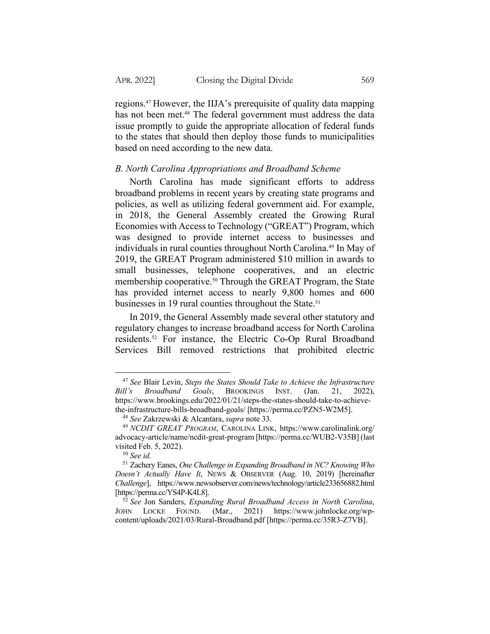regions.47 However, the IIJA's prerequisite of quality data mapping has not been met.<sup>48</sup> The federal government must address the data issue promptly to guide the appropriate allocation of federal funds to the states that should then deploy those funds to municipalities based on need according to the new data.

#### *B. North Carolina Appropriations and Broadband Scheme*

North Carolina has made significant efforts to address broadband problems in recent years by creating state programs and policies, as well as utilizing federal government aid. For example, in 2018, the General Assembly created the Growing Rural Economies with Access to Technology ("GREAT") Program, which was designed to provide internet access to businesses and individuals in rural counties throughout North Carolina.49 In May of 2019, the GREAT Program administered \$10 million in awards to small businesses, telephone cooperatives, and an electric membership cooperative.<sup>50</sup> Through the GREAT Program, the State has provided internet access to nearly 9,800 homes and 600 businesses in 19 rural counties throughout the State.<sup>51</sup>

In 2019, the General Assembly made several other statutory and regulatory changes to increase broadband access for North Carolina residents.52 For instance, the Electric Co-Op Rural Broadband Services Bill removed restrictions that prohibited electric

<sup>47</sup> *See* Blair Levin, *Steps the States Should Take to Achieve the Infrastructure Bill's Broadband Goals*, BROOKINGS INST. (Jan. 21, 2022), https://www.brookings.edu/2022/01/21/steps-the-states-should-take-to-achievethe-infrastructure-bills-broadband-goals/ [https://perma.cc/PZN5-W2M5].

<sup>48</sup> *See* Zakrzewski & Alcantara, *supra* note 33.

<sup>49</sup> *NCDIT GREAT PROGRAM*, CAROLINA LINK, https://www.carolinalink.org/ advocacy-article/name/ncdit-great-program [https://perma.cc/WUB2-V35B] (last visited Feb. 5, 2022).

<sup>50</sup> *See id.*

<sup>51</sup> Zachery Eanes, *One Challenge in Expanding Broadband in NC? Knowing Who Doesn't Actually Have It*, NEWS & OBSERVER (Aug. 10, 2019) [hereinafter *Challenge*], https://www.newsobserver.com/news/technology/article233656882.html [https://perma.cc/YS4P-K4L8].

<sup>52</sup> *See* Jon Sanders, *Expanding Rural Broadband Access in North Carolina*, JOHN LOCKE FOUND. (Mar., 2021) https://www.johnlocke.org/wpcontent/uploads/2021/03/Rural-Broadband.pdf [https://perma.cc/35R3-Z7VB].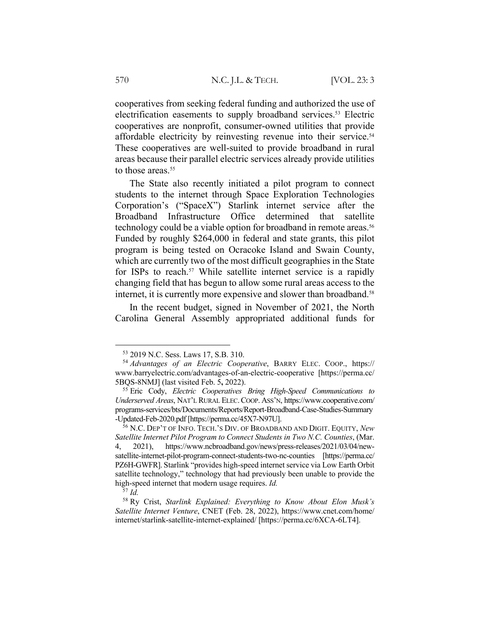cooperatives from seeking federal funding and authorized the use of electrification easements to supply broadband services.<sup>53</sup> Electric cooperatives are nonprofit, consumer-owned utilities that provide affordable electricity by reinvesting revenue into their service.<sup>54</sup> These cooperatives are well-suited to provide broadband in rural areas because their parallel electric services already provide utilities to those areas.<sup>55</sup>

The State also recently initiated a pilot program to connect students to the internet through Space Exploration Technologies Corporation's ("SpaceX") Starlink internet service after the Broadband Infrastructure Office determined that satellite technology could be a viable option for broadband in remote areas.<sup>56</sup> Funded by roughly \$264,000 in federal and state grants, this pilot program is being tested on Ocracoke Island and Swain County, which are currently two of the most difficult geographies in the State for ISPs to reach.<sup>57</sup> While satellite internet service is a rapidly changing field that has begun to allow some rural areas access to the internet, it is currently more expensive and slower than broadband.<sup>58</sup>

In the recent budget, signed in November of 2021, the North Carolina General Assembly appropriated additional funds for

<sup>53</sup> 2019 N.C. Sess. Laws 17, S.B. 310.

<sup>54</sup> *Advantages of an Electric Cooperative*, BARRY ELEC. COOP., https:// www.barryelectric.com/advantages-of-an-electric-cooperative [https://perma.cc/ 5BQS-8NMJ] (last visited Feb. 5**,** 2022).

<sup>55</sup> Eric Cody, *Electric Cooperatives Bring High-Speed Communications to Underserved Areas*, NAT'L RURAL ELEC.COOP. ASS'N, https://www.cooperative.com/ programs-services/bts/Documents/Reports/Report-Broadband-Case-Studies-Summary -Updated-Feb-2020.pdf [https://perma.cc/45X7-N97U].

<sup>56</sup> N.C. DEP'T OF INFO. TECH.'S DIV. OF BROADBAND AND DIGIT. EQUITY, *New Satellite Internet Pilot Program to Connect Students in Two N.C. Counties*, (Mar. 4, 2021), https://www.ncbroadband.gov/news/press-releases/2021/03/04/newsatellite-internet-pilot-program-connect-students-two-nc-counties [https://perma.cc/ PZ6H-GWFR]. Starlink "provides high-speed internet service via Low Earth Orbit satellite technology," technology that had previously been unable to provide the high-speed internet that modern usage requires. *Id.*

<sup>57</sup> *Id.*

<sup>58</sup> Ry Crist, *Starlink Explained: Everything to Know About Elon Musk's Satellite Internet Venture*, CNET (Feb. 28, 2022), https://www.cnet.com/home/ internet/starlink-satellite-internet-explained/ [https://perma.cc/6XCA-6LT4].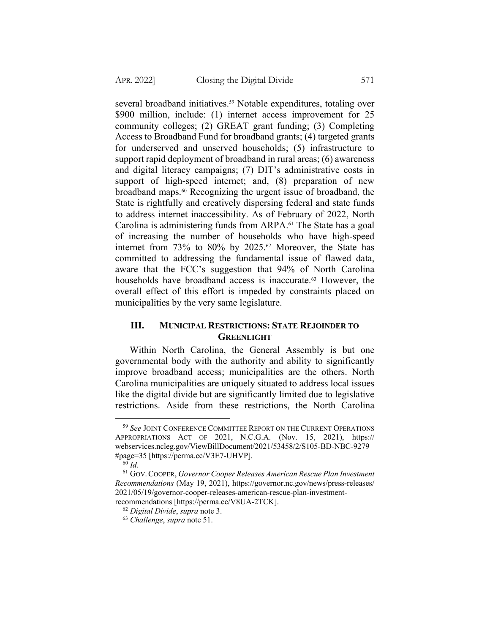several broadband initiatives.<sup>59</sup> Notable expenditures, totaling over \$900 million, include: (1) internet access improvement for 25 community colleges; (2) GREAT grant funding; (3) Completing Access to Broadband Fund for broadband grants; (4) targeted grants for underserved and unserved households; (5) infrastructure to support rapid deployment of broadband in rural areas; (6) awareness and digital literacy campaigns; (7) DIT's administrative costs in support of high-speed internet; and, (8) preparation of new broadband maps.60 Recognizing the urgent issue of broadband, the State is rightfully and creatively dispersing federal and state funds to address internet inaccessibility. As of February of 2022, North Carolina is administering funds from ARPA.61 The State has a goal of increasing the number of households who have high-speed internet from 73% to 80% by 2025.<sup>62</sup> Moreover, the State has committed to addressing the fundamental issue of flawed data, aware that the FCC's suggestion that 94% of North Carolina households have broadband access is inaccurate.<sup>63</sup> However, the overall effect of this effort is impeded by constraints placed on municipalities by the very same legislature.

# **III. MUNICIPAL RESTRICTIONS: STATE REJOINDER TO GREENLIGHT**

Within North Carolina, the General Assembly is but one governmental body with the authority and ability to significantly improve broadband access; municipalities are the others. North Carolina municipalities are uniquely situated to address local issues like the digital divide but are significantly limited due to legislative restrictions. Aside from these restrictions, the North Carolina

<sup>59</sup> *See* JOINT CONFERENCE COMMITTEE REPORT ON THE CURRENT OPERATIONS APPROPRIATIONS ACT OF 2021, N.C.G.A. (Nov. 15, 2021), https:// webservices.ncleg.gov/ViewBillDocument/2021/53458/2/S105-BD-NBC-9279 #page=35 [https://perma.cc/V3E7-UHVP].

 $60$  *Id.* 

<sup>61</sup> GOV.COOPER, *Governor Cooper Releases American Rescue Plan Investment Recommendations* (May 19, 2021), https://governor.nc.gov/news/press-releases/ 2021/05/19/governor-cooper-releases-american-rescue-plan-investmentrecommendations [https://perma.cc/V8UA-2TCK].

<sup>62</sup> *Digital Divide*, *supra* note 3.

<sup>63</sup> *Challenge*, *supra* note 51.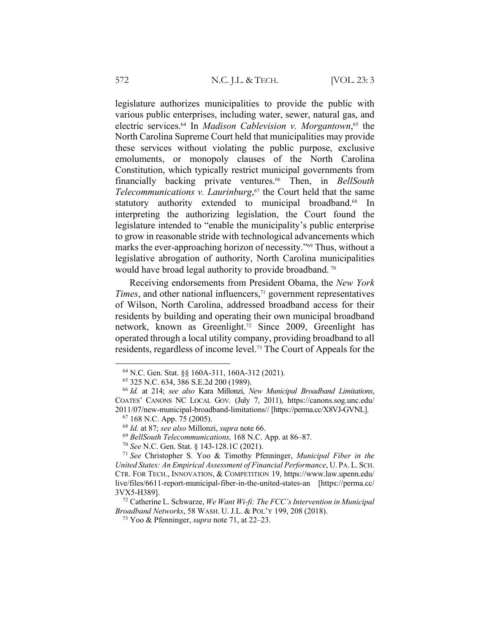legislature authorizes municipalities to provide the public with various public enterprises, including water, sewer, natural gas, and electric services.64 In *Madison Cablevision v. Morgantown*, <sup>65</sup> the North Carolina Supreme Court held that municipalities may provide these services without violating the public purpose, exclusive emoluments, or monopoly clauses of the North Carolina Constitution, which typically restrict municipal governments from financially backing private ventures.66 Then, in *BellSouth Telecommunications v. Laurinburg*, <sup>67</sup> the Court held that the same statutory authority extended to municipal broadband.<sup>68</sup> In interpreting the authorizing legislation, the Court found the legislature intended to "enable the municipality's public enterprise to grow in reasonable stride with technological advancements which marks the ever-approaching horizon of necessity."69 Thus, without a legislative abrogation of authority, North Carolina municipalities would have broad legal authority to provide broadband.<sup>70</sup>

Receiving endorsements from President Obama, the *New York Times*, and other national influencers,<sup>71</sup> government representatives of Wilson, North Carolina, addressed broadband access for their residents by building and operating their own municipal broadband network, known as Greenlight.72 Since 2009, Greenlight has operated through a local utility company, providing broadband to all residents, regardless of income level.73 The Court of Appeals for the

<sup>64</sup> N.C. Gen. Stat. §§ 160A-311, 160A-312 (2021).

<sup>65</sup> 325 N.C. 634, 386 S.E.2d 200 (1989).

<sup>66</sup> *Id.* at 214; *see also* Kara Millonzi, *New Municipal Broadband Limitations*, COATES' CANONS NC LOCAL GOV. (July 7, 2011), https://canons.sog.unc.edu/ 2011/07/new-municipal-broadband-limitations// [https://perma.cc/X8VJ-GVNL].

<sup>67</sup> 168 N.C. App. 75 (2005).

<sup>68</sup> *Id.* at 87; *see also* Millonzi, *supra* note 66.

<sup>69</sup> *BellSouth Telecommunications,* 168 N.C. App. at 86–87.

<sup>70</sup> *See* N.C. Gen. Stat. § 143-128.1C (2021).

<sup>71</sup> *See* Christopher S. Yoo & Timothy Pfenninger, *Municipal Fiber in the United States: An Empirical Assessment of Financial Performance*, U. PA.L. SCH. CTR. FOR TECH., INNOVATION, & COMPETITION 19, https://www.law.upenn.edu/ live/files/6611-report-municipal-fiber-in-the-united-states-an [https://perma.cc/ 3VX5-H389].

<sup>72</sup> Catherine L. Schwarze, *We Want Wi-fi: The FCC's Intervention in Municipal Broadband Networks*, 58 WASH. U. J.L. & POL'Y 199, 208 (2018).

<sup>73</sup> Yoo & Pfenninger, *supra* note 71, at 22–23.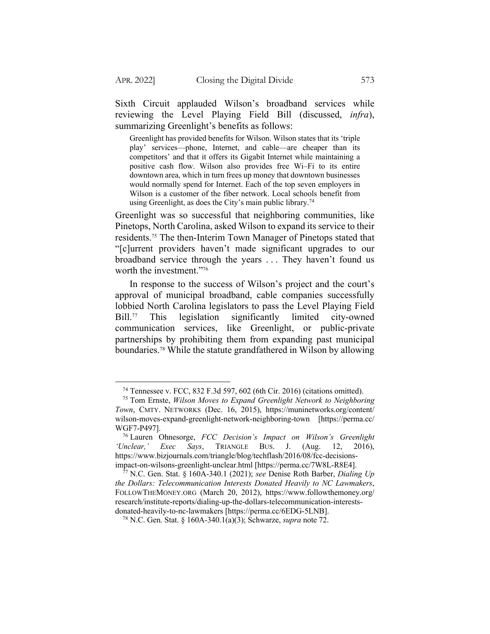Sixth Circuit applauded Wilson's broadband services while reviewing the Level Playing Field Bill (discussed, *infra*), summarizing Greenlight's benefits as follows:

Greenlight has provided benefits for Wilson. Wilson states that its 'triple play' services—phone, Internet, and cable—are cheaper than its competitors' and that it offers its Gigabit Internet while maintaining a positive cash flow. Wilson also provides free Wi–Fi to its entire downtown area, which in turn frees up money that downtown businesses would normally spend for Internet. Each of the top seven employers in Wilson is a customer of the fiber network. Local schools benefit from using Greenlight, as does the City's main public library.<sup>74</sup>

Greenlight was so successful that neighboring communities, like Pinetops, North Carolina, asked Wilson to expand its service to their residents.75 The then-Interim Town Manager of Pinetops stated that "[c]urrent providers haven't made significant upgrades to our broadband service through the years . . . They haven't found us worth the investment."<sup>76</sup>

In response to the success of Wilson's project and the court's approval of municipal broadband, cable companies successfully lobbied North Carolina legislators to pass the Level Playing Field Bill.<sup>77</sup> This legislation significantly limited city-owned communication services, like Greenlight, or public-private partnerships by prohibiting them from expanding past municipal boundaries.78 While the statute grandfathered in Wilson by allowing

<sup>74</sup> Tennessee v. FCC, 832 F.3d 597, 602 (6th Cir. 2016) (citations omitted).

<sup>75</sup> Tom Ernste, *Wilson Moves to Expand Greenlight Network to Neighboring Town*, CMTY. NETWORKS (Dec. 16, 2015), https://muninetworks.org/content/ wilson-moves-expand-greenlight-network-neighboring-town [https://perma.cc/ WGF7-P497].

<sup>76</sup> Lauren Ohnesorge, *FCC Decision's Impact on Wilson's Greenlight 'Unclear,' Exec Says*, TRIANGLE BUS. J. (Aug. 12, 2016), https://www.bizjournals.com/triangle/blog/techflash/2016/08/fcc-decisionsimpact-on-wilsons-greenlight-unclear.html [https://perma.cc/7W8L-R8E4].

<sup>77</sup> N.C. Gen. Stat. § 160A-340.1 (2021); *see* Denise Roth Barber, *Dialing Up the Dollars: Telecommunication Interests Donated Heavily to NC Lawmakers*, FOLLOWTHEMONEY.ORG (March 20, 2012), https://www.followthemoney.org/ research/institute-reports/dialing-up-the-dollars-telecommunication-interestsdonated-heavily-to-nc-lawmakers [https://perma.cc/6EDG-5LNB].

<sup>78</sup> N.C. Gen. Stat. § 160A-340.1(a)(3); Schwarze, *supra* note 72.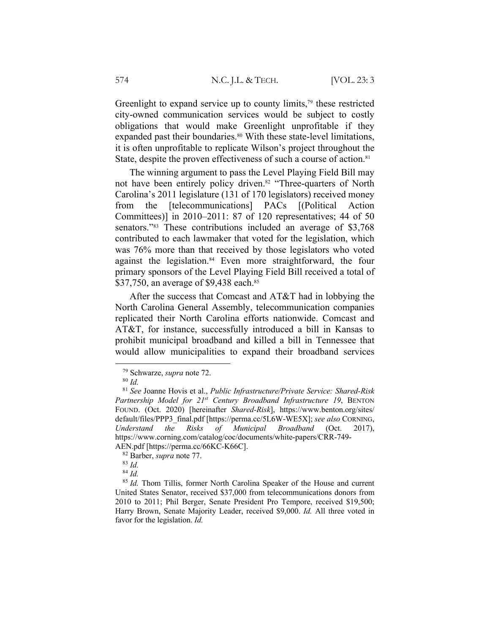Greenlight to expand service up to county limits, $79$  these restricted city-owned communication services would be subject to costly obligations that would make Greenlight unprofitable if they expanded past their boundaries.<sup>80</sup> With these state-level limitations, it is often unprofitable to replicate Wilson's project throughout the State, despite the proven effectiveness of such a course of action.<sup>81</sup>

The winning argument to pass the Level Playing Field Bill may not have been entirely policy driven.<sup>82</sup> "Three-quarters of North Carolina's 2011 legislature (131 of 170 legislators) received money from the [telecommunications] PACs [(Political Action Committees)] in 2010–2011: 87 of 120 representatives; 44 of 50 senators."<sup>83</sup> These contributions included an average of \$3,768 contributed to each lawmaker that voted for the legislation, which was 76% more than that received by those legislators who voted against the legislation.<sup>84</sup> Even more straightforward, the four primary sponsors of the Level Playing Field Bill received a total of \$37,750, an average of \$9,438 each.<sup>85</sup>

After the success that Comcast and AT&T had in lobbying the North Carolina General Assembly, telecommunication companies replicated their North Carolina efforts nationwide. Comcast and AT&T, for instance, successfully introduced a bill in Kansas to prohibit municipal broadband and killed a bill in Tennessee that would allow municipalities to expand their broadband services

<sup>79</sup> Schwarze, *supra* note 72.

<sup>80</sup> *Id.*

<sup>81</sup> *See* Joanne Hovis et al., *Public Infrastructure/Private Service: Shared-Risk Partnership Model for 21st Century Broadband Infrastructure 19*, BENTON FOUND. (Oct. 2020) [hereinafter *Shared-Risk*], https://www.benton.org/sites/ default/files/PPP3\_final.pdf [https://perma.cc/5L6W-WE5X]; *see also* CORNING, *Understand the Risks of Municipal Broadband* (Oct. 2017), https://www.corning.com/catalog/coc/documents/white-papers/CRR-749- AEN.pdf [https://perma.cc/66KC-K66C].

<sup>82</sup> Barber, *supra* note 77.

<sup>83</sup> *Id.*

<sup>84</sup> *Id.*

<sup>85</sup> *Id.* Thom Tillis, former North Carolina Speaker of the House and current United States Senator, received \$37,000 from telecommunications donors from 2010 to 2011; Phil Berger, Senate President Pro Tempore, received \$19,500; Harry Brown, Senate Majority Leader, received \$9,000. *Id.* All three voted in favor for the legislation. *Id.*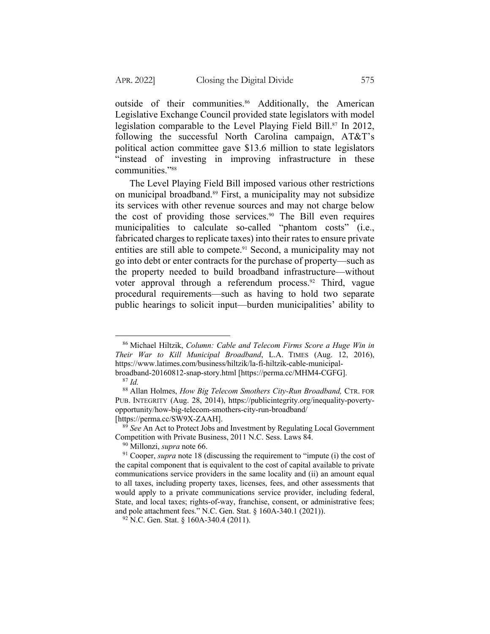outside of their communities.<sup>86</sup> Additionally, the American Legislative Exchange Council provided state legislators with model legislation comparable to the Level Playing Field Bill.87 In 2012, following the successful North Carolina campaign, AT&T's political action committee gave \$13.6 million to state legislators "instead of investing in improving infrastructure in these communities."88

The Level Playing Field Bill imposed various other restrictions on municipal broadband.89 First, a municipality may not subsidize its services with other revenue sources and may not charge below the cost of providing those services.<sup>90</sup> The Bill even requires municipalities to calculate so-called "phantom costs" (i.e., fabricated charges to replicate taxes) into their rates to ensure private entities are still able to compete.<sup>91</sup> Second, a municipality may not go into debt or enter contracts for the purchase of property—such as the property needed to build broadband infrastructure—without voter approval through a referendum process.<sup>92</sup> Third, vague procedural requirements—such as having to hold two separate public hearings to solicit input—burden municipalities' ability to

<sup>86</sup> Michael Hiltzik, *Column: Cable and Telecom Firms Score a Huge Win in Their War to Kill Municipal Broadband*, L.A. TIMES (Aug. 12, 2016), https://www.latimes.com/business/hiltzik/la-fi-hiltzik-cable-municipalbroadband-20160812-snap-story.html [https://perma.cc/MHM4-CGFG].

<sup>87</sup> *Id.*

<sup>88</sup> Allan Holmes, *How Big Telecom Smothers City-Run Broadband,* CTR. FOR PUB. INTEGRITY (Aug. 28, 2014), https://publicintegrity.org/inequality-povertyopportunity/how-big-telecom-smothers-city-run-broadband/ [https://perma.cc/SW9X-ZAAH].

<sup>89</sup> *See* An Act to Protect Jobs and Investment by Regulating Local Government Competition with Private Business, 2011 N.C. Sess. Laws 84.

<sup>90</sup> Millonzi, *supra* note 66.

<sup>&</sup>lt;sup>91</sup> Cooper, *supra* note 18 (discussing the requirement to "impute (i) the cost of the capital component that is equivalent to the cost of capital available to private communications service providers in the same locality and (ii) an amount equal to all taxes, including property taxes, licenses, fees, and other assessments that would apply to a private communications service provider, including federal, State, and local taxes; rights-of-way, franchise, consent, or administrative fees; and pole attachment fees." N.C. Gen. Stat. § 160A-340.1 (2021)).

 $92$  N.C. Gen. Stat. § 160A-340.4 (2011).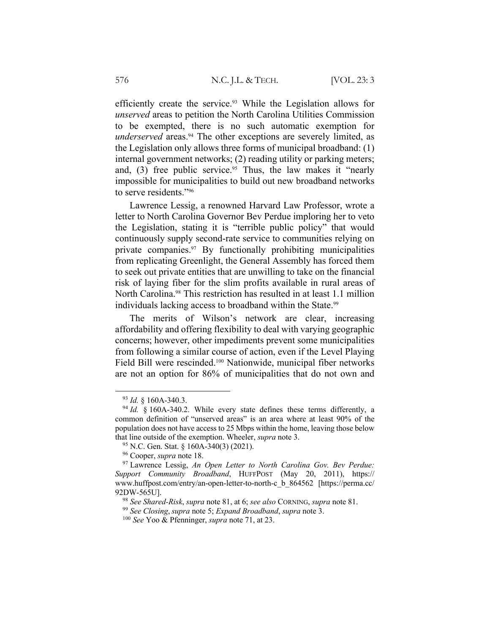efficiently create the service.<sup>93</sup> While the Legislation allows for *unserved* areas to petition the North Carolina Utilities Commission to be exempted, there is no such automatic exemption for *underserved* areas.<sup>94</sup> The other exceptions are severely limited, as the Legislation only allows three forms of municipal broadband: (1) internal government networks; (2) reading utility or parking meters; and,  $(3)$  free public service.<sup>95</sup> Thus, the law makes it "nearly impossible for municipalities to build out new broadband networks to serve residents."96

Lawrence Lessig, a renowned Harvard Law Professor, wrote a letter to North Carolina Governor Bev Perdue imploring her to veto the Legislation, stating it is "terrible public policy" that would continuously supply second-rate service to communities relying on private companies.97 By functionally prohibiting municipalities from replicating Greenlight, the General Assembly has forced them to seek out private entities that are unwilling to take on the financial risk of laying fiber for the slim profits available in rural areas of North Carolina.98 This restriction has resulted in at least 1.1 million individuals lacking access to broadband within the State.<sup>99</sup>

The merits of Wilson's network are clear, increasing affordability and offering flexibility to deal with varying geographic concerns; however, other impediments prevent some municipalities from following a similar course of action, even if the Level Playing Field Bill were rescinded.100 Nationwide, municipal fiber networks are not an option for 86% of municipalities that do not own and

<sup>93</sup> *Id.* § 160A-340.3.

 $94$  *Id.* § 160A-340.2. While every state defines these terms differently, a common definition of "unserved areas" is an area where at least 90% of the population does not have access to 25 Mbps within the home, leaving those below that line outside of the exemption. Wheeler, *supra* note 3.

<sup>95</sup> N.C. Gen. Stat. § 160A-340(3) (2021).

<sup>96</sup> Cooper, *supra* note 18.

<sup>97</sup> Lawrence Lessig, *An Open Letter to North Carolina Gov. Bev Perdue: Support Community Broadband*, HUFFPOST (May 20, 2011), https:// www.huffpost.com/entry/an-open-letter-to-north-c\_b\_864562 [https://perma.cc/ 92DW-565U].

<sup>98</sup> *See Shared-Risk*, *supra* note 81, at 6; *see also* CORNING, *supra* note 81.

<sup>99</sup> *See Closing*, *supra* note 5; *Expand Broadband*, *supra* note 3.

<sup>100</sup> *See* Yoo & Pfenninger, *supra* note 71, at 23.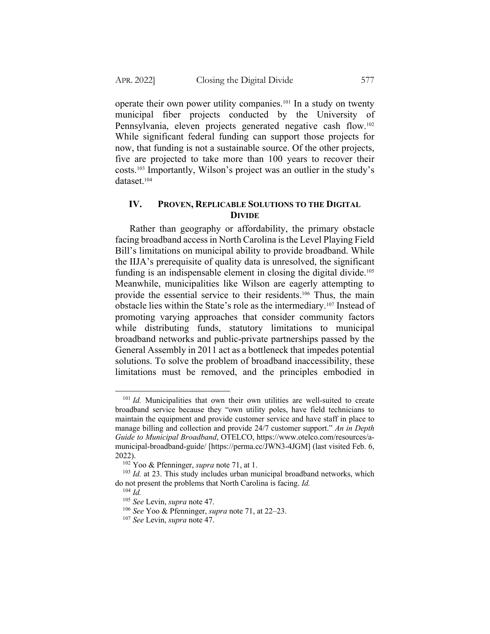operate their own power utility companies.101 In a study on twenty municipal fiber projects conducted by the University of Pennsylvania, eleven projects generated negative cash flow.<sup>102</sup> While significant federal funding can support those projects for now, that funding is not a sustainable source. Of the other projects, five are projected to take more than 100 years to recover their costs.103 Importantly, Wilson's project was an outlier in the study's dataset.<sup>104</sup>

# **IV. PROVEN, REPLICABLE SOLUTIONS TO THE DIGITAL DIVIDE**

Rather than geography or affordability, the primary obstacle facing broadband access in North Carolina is the Level Playing Field Bill's limitations on municipal ability to provide broadband. While the IIJA's prerequisite of quality data is unresolved, the significant funding is an indispensable element in closing the digital divide.<sup>105</sup> Meanwhile, municipalities like Wilson are eagerly attempting to provide the essential service to their residents.106 Thus, the main obstacle lies within the State's role as the intermediary.107 Instead of promoting varying approaches that consider community factors while distributing funds, statutory limitations to municipal broadband networks and public-private partnerships passed by the General Assembly in 2011 act as a bottleneck that impedes potential solutions. To solve the problem of broadband inaccessibility, these limitations must be removed, and the principles embodied in

<sup>&</sup>lt;sup>101</sup> *Id.* Municipalities that own their own utilities are well-suited to create broadband service because they "own utility poles, have field technicians to maintain the equipment and provide customer service and have staff in place to manage billing and collection and provide 24/7 customer support." *An in Depth Guide to Municipal Broadband*, OTELCO, https://www.otelco.com/resources/amunicipal-broadband-guide/ [https://perma.cc/JWN3-4JGM] (last visited Feb. 6, 2022).

<sup>102</sup> Yoo & Pfenninger, *supra* note 71, at 1.

<sup>&</sup>lt;sup>103</sup> *Id.* at 23. This study includes urban municipal broadband networks, which do not present the problems that North Carolina is facing. *Id.*

<sup>104</sup> *Id.*

<sup>105</sup> *See* Levin, *supra* note 47.

<sup>106</sup> *See* Yoo & Pfenninger, *supra* note 71, at 22–23.

<sup>107</sup> *See* Levin, *supra* note 47.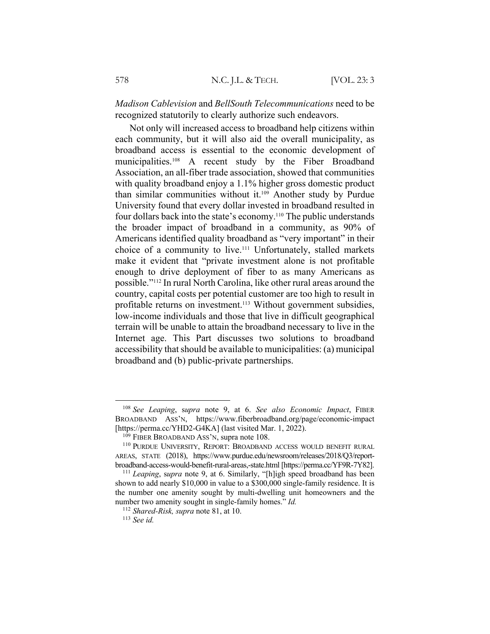*Madison Cablevision* and *BellSouth Telecommunications* need to be recognized statutorily to clearly authorize such endeavors.

Not only will increased access to broadband help citizens within each community, but it will also aid the overall municipality, as broadband access is essential to the economic development of municipalities.108 A recent study by the Fiber Broadband Association, an all-fiber trade association, showed that communities with quality broadband enjoy a 1.1% higher gross domestic product than similar communities without it.109 Another study by Purdue University found that every dollar invested in broadband resulted in four dollars back into the state's economy.110 The public understands the broader impact of broadband in a community, as 90% of Americans identified quality broadband as "very important" in their choice of a community to live.111 Unfortunately, stalled markets make it evident that "private investment alone is not profitable enough to drive deployment of fiber to as many Americans as possible."112 In rural North Carolina, like other rural areas around the country, capital costs per potential customer are too high to result in profitable returns on investment.<sup>113</sup> Without government subsidies, low-income individuals and those that live in difficult geographical terrain will be unable to attain the broadband necessary to live in the Internet age. This Part discusses two solutions to broadband accessibility that should be available to municipalities: (a) municipal broadband and (b) public-private partnerships.

<sup>108</sup> *See Leaping*, s*upra* note 9, at 6. *See also Economic Impact*, FIBER BROADBAND ASS'N, https://www.fiberbroadband.org/page/economic-impact [https://perma.cc/YHD2-G4KA] (last visited Mar. 1, 2022).

 $109$  FIBER BROADBAND ASS'N, supra note 108.

<sup>110</sup> PURDUE UNIVERSITY, REPORT: BROADBAND ACCESS WOULD BENEFIT RURAL AREAS, STATE (2018), https://www.purdue.edu/newsroom/releases/2018/Q3/reportbroadband-access-would-benefit-rural-areas,-state.html [https://perma.cc/YF9R-7Y82].

<sup>111</sup> *Leaping*, s*upra* note 9, at 6. Similarly, "[h]igh speed broadband has been shown to add nearly \$10,000 in value to a \$300,000 single-family residence. It is the number one amenity sought by multi-dwelling unit homeowners and the number two amenity sought in single-family homes." *Id.*

<sup>112</sup> *Shared-Risk, supra* note 81, at 10.

<sup>113</sup> *See id.*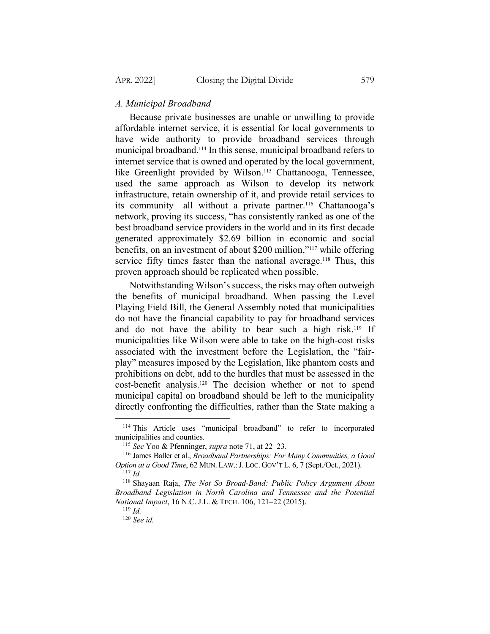### *A. Municipal Broadband*

Because private businesses are unable or unwilling to provide affordable internet service, it is essential for local governments to have wide authority to provide broadband services through municipal broadband.114 In this sense, municipal broadband refers to internet service that is owned and operated by the local government, like Greenlight provided by Wilson.<sup>115</sup> Chattanooga, Tennessee, used the same approach as Wilson to develop its network infrastructure, retain ownership of it, and provide retail services to its community—all without a private partner.116 Chattanooga's network, proving its success, "has consistently ranked as one of the best broadband service providers in the world and in its first decade generated approximately \$2.69 billion in economic and social benefits, on an investment of about \$200 million,"117 while offering service fifty times faster than the national average.<sup>118</sup> Thus, this proven approach should be replicated when possible.

Notwithstanding Wilson's success, the risks may often outweigh the benefits of municipal broadband. When passing the Level Playing Field Bill, the General Assembly noted that municipalities do not have the financial capability to pay for broadband services and do not have the ability to bear such a high risk.<sup>119</sup> If municipalities like Wilson were able to take on the high-cost risks associated with the investment before the Legislation, the "fairplay" measures imposed by the Legislation, like phantom costs and prohibitions on debt, add to the hurdles that must be assessed in the cost-benefit analysis.120 The decision whether or not to spend municipal capital on broadband should be left to the municipality directly confronting the difficulties, rather than the State making a

<sup>&</sup>lt;sup>114</sup> This Article uses "municipal broadband" to refer to incorporated municipalities and counties.

<sup>115</sup> *See* Yoo & Pfenninger, *supra* note 71, at 22–23.

<sup>116</sup> James Baller et al., *Broadband Partnerships: For Many Communities, a Good Option at a Good Time*, 62 MUN. LAW.:J. LOC. GOV'T L. 6, 7 (Sept./Oct., 2021). <sup>117</sup> *Id.*

<sup>118</sup> Shayaan Raja, *The Not So Broad-Band: Public Policy Argument About Broadband Legislation in North Carolina and Tennessee and the Potential National Impact*, 16 N.C. J.L. & TECH. 106, 121–22 (2015).

<sup>119</sup> *Id.*

<sup>120</sup> *See id.*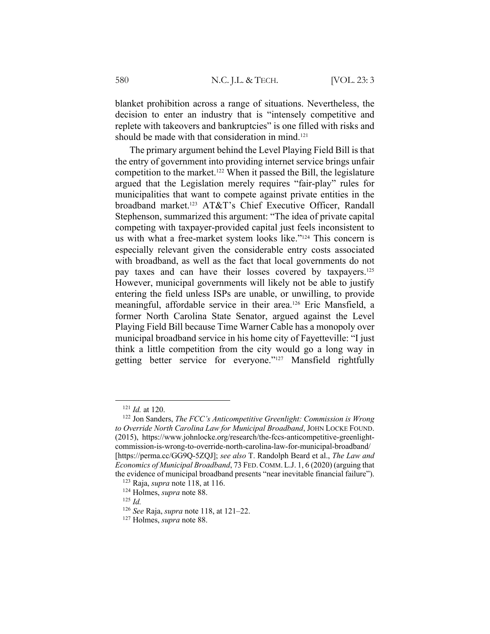blanket prohibition across a range of situations. Nevertheless, the decision to enter an industry that is "intensely competitive and replete with takeovers and bankruptcies" is one filled with risks and should be made with that consideration in mind.<sup>121</sup>

The primary argument behind the Level Playing Field Bill is that the entry of government into providing internet service brings unfair competition to the market.122 When it passed the Bill, the legislature argued that the Legislation merely requires "fair-play" rules for municipalities that want to compete against private entities in the broadband market.123 AT&T's Chief Executive Officer, Randall Stephenson, summarized this argument: "The idea of private capital competing with taxpayer-provided capital just feels inconsistent to us with what a free-market system looks like."124 This concern is especially relevant given the considerable entry costs associated with broadband, as well as the fact that local governments do not pay taxes and can have their losses covered by taxpayers.125 However, municipal governments will likely not be able to justify entering the field unless ISPs are unable, or unwilling, to provide meaningful, affordable service in their area.126 Eric Mansfield, a former North Carolina State Senator, argued against the Level Playing Field Bill because Time Warner Cable has a monopoly over municipal broadband service in his home city of Fayetteville: "I just think a little competition from the city would go a long way in getting better service for everyone."127 Mansfield rightfully

<sup>121</sup> *Id.* at 120.

<sup>122</sup> Jon Sanders, *The FCC's Anticompetitive Greenlight: Commission is Wrong to Override North Carolina Law for Municipal Broadband*, JOHN LOCKE FOUND. (2015), https://www.johnlocke.org/research/the-fccs-anticompetitive-greenlightcommission-is-wrong-to-override-north-carolina-law-for-municipal-broadband/ [https://perma.cc/GG9Q-5ZQJ]; *see also* T. Randolph Beard et al., *The Law and Economics of Municipal Broadband*, 73 FED.COMM. L.J. 1, 6 (2020) (arguing that the evidence of municipal broadband presents "near inevitable financial failure").

<sup>123</sup> Raja, *supra* note 118, at 116. <sup>124</sup> Holmes, *supra* note 88.

<sup>125</sup> *Id.*

<sup>126</sup> *See* Raja, *supra* note 118, at 121–22.

<sup>127</sup> Holmes, *supra* note 88.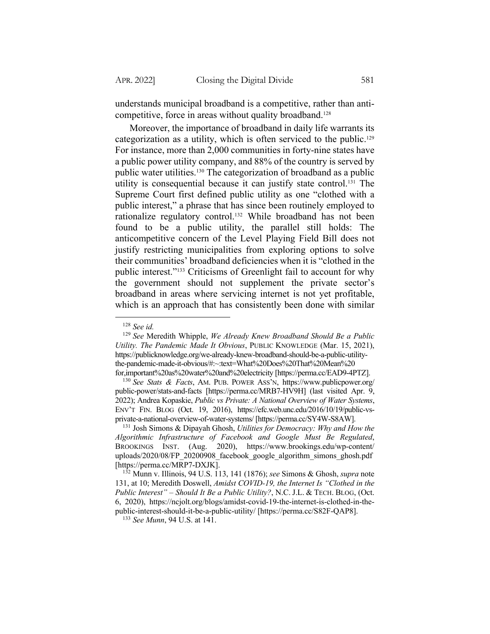understands municipal broadband is a competitive, rather than anticompetitive, force in areas without quality broadband.<sup>128</sup>

Moreover, the importance of broadband in daily life warrants its categorization as a utility, which is often serviced to the public.129 For instance, more than 2,000 communities in forty-nine states have a public power utility company, and 88% of the country is served by public water utilities.130 The categorization of broadband as a public utility is consequential because it can justify state control.131 The Supreme Court first defined public utility as one "clothed with a public interest," a phrase that has since been routinely employed to rationalize regulatory control.<sup>132</sup> While broadband has not been found to be a public utility, the parallel still holds: The anticompetitive concern of the Level Playing Field Bill does not justify restricting municipalities from exploring options to solve their communities' broadband deficiencies when it is "clothed in the public interest."133 Criticisms of Greenlight fail to account for why the government should not supplement the private sector's broadband in areas where servicing internet is not yet profitable, which is an approach that has consistently been done with similar

<sup>128</sup> *See id.*

<sup>129</sup> *See* Meredith Whipple, *We Already Knew Broadband Should Be a Public Utility. The Pandemic Made It Obvious*, PUBLIC KNOWLEDGE (Mar. 15, 2021), https://publicknowledge.org/we-already-knew-broadband-should-be-a-public-utilitythe-pandemic-made-it-obvious/#:~:text=What%20Does%20That%20Mean%20 for,important%20as%20water%20and%20electricity [https://perma.cc/EAD9-4PTZ].

<sup>130</sup> *See Stats & Facts*, AM. PUB. POWER ASS'N, https://www.publicpower.org/ public-power/stats-and-facts [https://perma.cc/MRB7-HV9H] (last visited Apr. 9, 2022); Andrea Kopaskie, *Public vs Private: A National Overview of Water Systems*, ENV'T FIN. BLOG (Oct. 19, 2016), https://efc.web.unc.edu/2016/10/19/public-vsprivate-a-national-overview-of-water-systems/ [https://perma.cc/SY4W-S8AW].

<sup>131</sup> Josh Simons & Dipayah Ghosh, *Utilities for Democracy: Why and How the Algorithmic Infrastructure of Facebook and Google Must Be Regulated*, BROOKINGS INST. (Aug. 2020), https://www.brookings.edu/wp-content/ uploads/2020/08/FP\_20200908\_facebook\_google\_algorithm\_simons\_ghosh.pdf [https://perma.cc/MRP7-DXJK].

<sup>132</sup> Munn v. Illinois, 94 U.S. 113, 141 (1876); *see* Simons & Ghosh, *supra* note 131, at 10; Meredith Doswell, *Amidst COVID-19, the Internet Is "Clothed in the Public Interest" – Should It Be a Public Utility?*, N.C. J.L. & TECH. BLOG, (Oct. 6, 2020), https://ncjolt.org/blogs/amidst-covid-19-the-internet-is-clothed-in-thepublic-interest-should-it-be-a-public-utility/ [https://perma.cc/S82F-QAP8].

<sup>133</sup> *See Munn*, 94 U.S. at 141.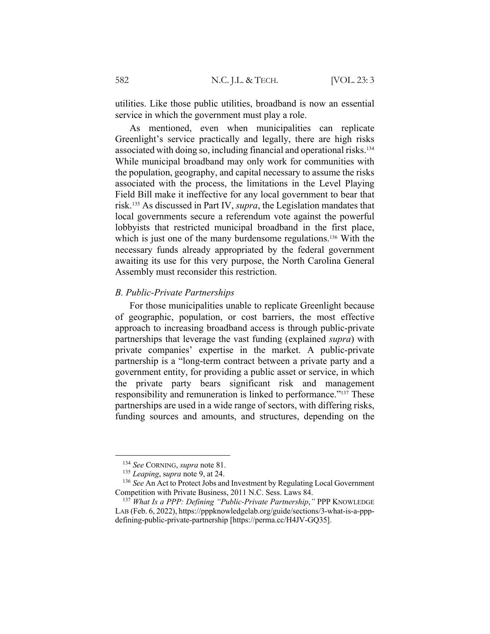utilities. Like those public utilities, broadband is now an essential service in which the government must play a role.

As mentioned, even when municipalities can replicate Greenlight's service practically and legally, there are high risks associated with doing so, including financial and operational risks.134 While municipal broadband may only work for communities with the population, geography, and capital necessary to assume the risks associated with the process, the limitations in the Level Playing Field Bill make it ineffective for any local government to bear that risk.135 As discussed in Part IV, *supra*, the Legislation mandates that local governments secure a referendum vote against the powerful lobbyists that restricted municipal broadband in the first place, which is just one of the many burdensome regulations.<sup>136</sup> With the necessary funds already appropriated by the federal government awaiting its use for this very purpose, the North Carolina General Assembly must reconsider this restriction.

#### *B. Public-Private Partnerships*

For those municipalities unable to replicate Greenlight because of geographic, population, or cost barriers, the most effective approach to increasing broadband access is through public-private partnerships that leverage the vast funding (explained *supra*) with private companies' expertise in the market. A public-private partnership is a "long-term contract between a private party and a government entity, for providing a public asset or service, in which the private party bears significant risk and management responsibility and remuneration is linked to performance."137 These partnerships are used in a wide range of sectors, with differing risks, funding sources and amounts, and structures, depending on the

<sup>134</sup> *See* CORNING, *supra* note 81.

<sup>135</sup> *Leaping*, s*upra* note 9, at 24.

<sup>&</sup>lt;sup>136</sup> *See* An Act to Protect Jobs and Investment by Regulating Local Government Competition with Private Business, 2011 N.C. Sess. Laws 84.

<sup>137</sup> *What Is a PPP: Defining "Public-Private Partnership*,*"* PPP KNOWLEDGE LAB (Feb. 6, 2022), https://pppknowledgelab.org/guide/sections/3-what-is-a-pppdefining-public-private-partnership [https://perma.cc/H4JV-GQ35].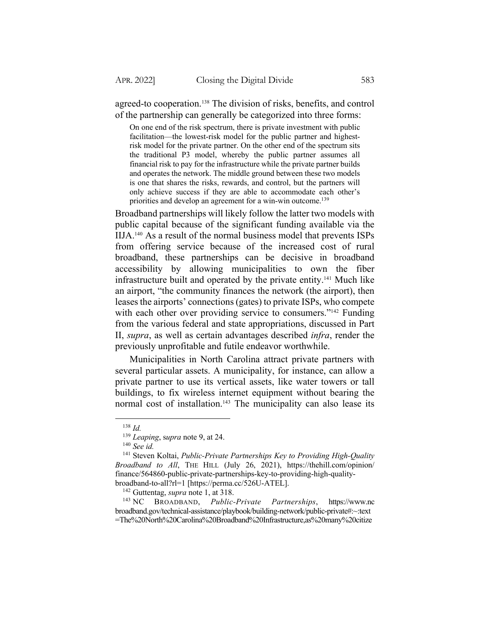agreed-to cooperation.138 The division of risks, benefits, and control of the partnership can generally be categorized into three forms:

On one end of the risk spectrum, there is private investment with public facilitation—the lowest-risk model for the public partner and highestrisk model for the private partner. On the other end of the spectrum sits the traditional P3 model, whereby the public partner assumes all financial risk to pay for the infrastructure while the private partner builds and operates the network. The middle ground between these two models is one that shares the risks, rewards, and control, but the partners will only achieve success if they are able to accommodate each other's priorities and develop an agreement for a win-win outcome.<sup>139</sup>

Broadband partnerships will likely follow the latter two models with public capital because of the significant funding available via the IIJA.140 As a result of the normal business model that prevents ISPs from offering service because of the increased cost of rural broadband, these partnerships can be decisive in broadband accessibility by allowing municipalities to own the fiber infrastructure built and operated by the private entity.141 Much like an airport, "the community finances the network (the airport), then leases the airports' connections (gates) to private ISPs, who compete with each other over providing service to consumers."<sup>142</sup> Funding from the various federal and state appropriations, discussed in Part II, *supra*, as well as certain advantages described *infra*, render the previously unprofitable and futile endeavor worthwhile.

Municipalities in North Carolina attract private partners with several particular assets. A municipality, for instance, can allow a private partner to use its vertical assets, like water towers or tall buildings, to fix wireless internet equipment without bearing the normal cost of installation.<sup>143</sup> The municipality can also lease its

<sup>138</sup> *Id.*

<sup>139</sup> *Leaping*, s*upra* note 9, at 24.

<sup>140</sup> *See id.*

<sup>141</sup> Steven Koltai, *Public-Private Partnerships Key to Providing High-Quality Broadband to All*, THE HILL (July 26, 2021), https://thehill.com/opinion/ finance/564860-public-private-partnerships-key-to-providing-high-qualitybroadband-to-all?rl=1 [https://perma.cc/526U-ATEL].

<sup>&</sup>lt;sup>142</sup> Guttentag, *supra* note 1, at 318.<br><sup>143</sup> NC BROADBAND, *Public-*

<sup>143</sup> NC BROADBAND, *Public-Private Partnerships*, https://www.nc broadband.gov/technical-assistance/playbook/building-network/public-private#:~:text =The%20North%20Carolina%20Broadband%20Infrastructure,as%20many%20citize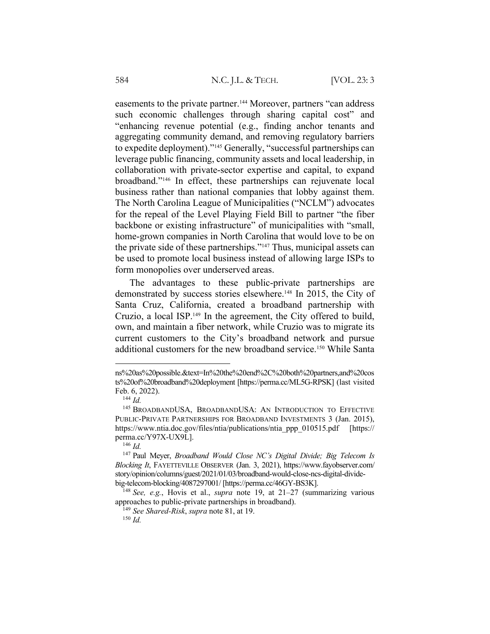easements to the private partner.<sup>144</sup> Moreover, partners "can address" such economic challenges through sharing capital cost" and "enhancing revenue potential (e.g., finding anchor tenants and aggregating community demand, and removing regulatory barriers to expedite deployment)."145 Generally, "successful partnerships can leverage public financing, community assets and local leadership, in collaboration with private-sector expertise and capital, to expand broadband."146 In effect, these partnerships can rejuvenate local business rather than national companies that lobby against them. The North Carolina League of Municipalities ("NCLM") advocates for the repeal of the Level Playing Field Bill to partner "the fiber backbone or existing infrastructure" of municipalities with "small, home-grown companies in North Carolina that would love to be on the private side of these partnerships."147 Thus, municipal assets can be used to promote local business instead of allowing large ISPs to form monopolies over underserved areas.

The advantages to these public-private partnerships are demonstrated by success stories elsewhere.148 In 2015, the City of Santa Cruz, California, created a broadband partnership with Cruzio, a local ISP.149 In the agreement, the City offered to build, own, and maintain a fiber network, while Cruzio was to migrate its current customers to the City's broadband network and pursue additional customers for the new broadband service.150 While Santa

ns%20as%20possible.&text=In%20the%20end%2C%20both%20partners,and%20cos ts%20of%20broadband%20deployment [https://perma.cc/ML5G-RPSK] (last visited Feb. 6, 2022).

<sup>144</sup> *Id.*

<sup>145</sup> BROADBANDUSA, BROADBANDUSA: AN INTRODUCTION TO EFFECTIVE PUBLIC-PRIVATE PARTNERSHIPS FOR BROADBAND INVESTMENTS 3 (Jan. 2015), https://www.ntia.doc.gov/files/ntia/publications/ntia\_ppp\_010515.pdf [https:// perma.cc/Y97X-UX9L].

<sup>146</sup> *Id.*

<sup>147</sup> Paul Meyer, *Broadband Would Close NC's Digital Divide; Big Telecom Is Blocking It*, FAYETTEVILLE OBSERVER (Jan. 3, 2021), https://www.fayobserver.com/ story/opinion/columns/guest/2021/01/03/broadband-would-close-ncs-digital-dividebig-telecom-blocking/4087297001/ [https://perma.cc/46GY-BS3K].

<sup>148</sup> *See, e.g.*, Hovis et al., *supra* note 19, at 21–27 (summarizing various approaches to public-private partnerships in broadband).

<sup>149</sup> *See Shared-Risk*, *supra* note 81, at 19.

<sup>150</sup> *Id.*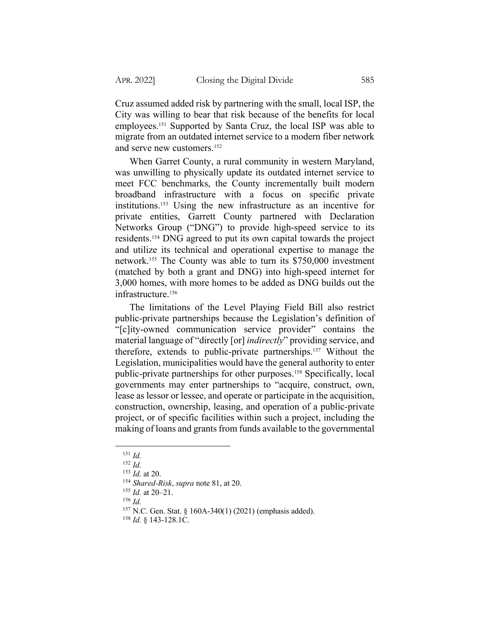Cruz assumed added risk by partnering with the small, local ISP, the City was willing to bear that risk because of the benefits for local employees.151 Supported by Santa Cruz, the local ISP was able to migrate from an outdated internet service to a modern fiber network and serve new customers.152

When Garret County, a rural community in western Maryland, was unwilling to physically update its outdated internet service to meet FCC benchmarks, the County incrementally built modern broadband infrastructure with a focus on specific private institutions.153 Using the new infrastructure as an incentive for private entities, Garrett County partnered with Declaration Networks Group ("DNG") to provide high-speed service to its residents.154 DNG agreed to put its own capital towards the project and utilize its technical and operational expertise to manage the network.155 The County was able to turn its \$750,000 investment (matched by both a grant and DNG) into high-speed internet for 3,000 homes, with more homes to be added as DNG builds out the infrastructure.156

The limitations of the Level Playing Field Bill also restrict public-private partnerships because the Legislation's definition of "[c]ity-owned communication service provider" contains the material language of "directly [or] *indirectly*" providing service, and therefore, extends to public-private partnerships.157 Without the Legislation, municipalities would have the general authority to enter public-private partnerships for other purposes.158 Specifically, local governments may enter partnerships to "acquire, construct, own, lease as lessor or lessee, and operate or participate in the acquisition, construction, ownership, leasing, and operation of a public-private project, or of specific facilities within such a project, including the making of loans and grants from funds available to the governmental

<sup>156</sup> *Id.*

<sup>151</sup> *Id.*

<sup>152</sup> *Id.*

<sup>153</sup> *Id.* at 20.

<sup>154</sup> *Shared-Risk*, *supra* note 81, at 20.

<sup>155</sup> *Id.* at 20–21.

<sup>157</sup> N.C. Gen. Stat. § 160A-340(1) (2021) (emphasis added).

<sup>158</sup> *Id.* § 143-128.1C.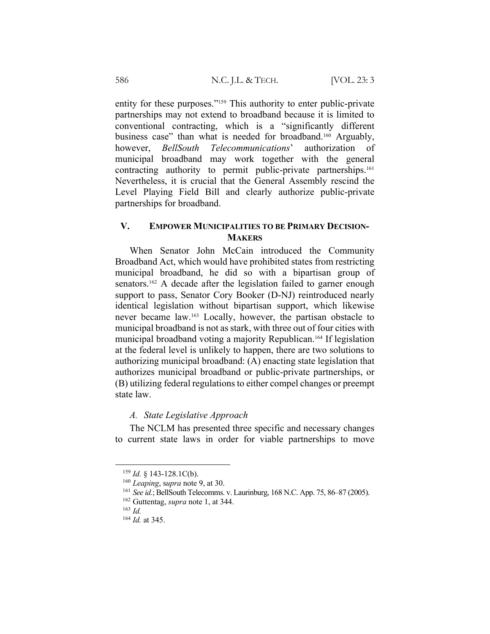entity for these purposes."<sup>159</sup> This authority to enter public-private partnerships may not extend to broadband because it is limited to conventional contracting, which is a "significantly different business case" than what is needed for broadband.<sup>160</sup> Arguably, however, *BellSouth Telecommunications*' authorization of municipal broadband may work together with the general contracting authority to permit public-private partnerships.<sup>161</sup> Nevertheless, it is crucial that the General Assembly rescind the Level Playing Field Bill and clearly authorize public-private partnerships for broadband.

# **V. EMPOWER MUNICIPALITIES TO BE PRIMARY DECISION-MAKERS**

When Senator John McCain introduced the Community Broadband Act, which would have prohibited states from restricting municipal broadband, he did so with a bipartisan group of senators.<sup>162</sup> A decade after the legislation failed to garner enough support to pass, Senator Cory Booker (D-NJ) reintroduced nearly identical legislation without bipartisan support, which likewise never became law.163 Locally, however, the partisan obstacle to municipal broadband is not as stark, with three out of four cities with municipal broadband voting a majority Republican.164 If legislation at the federal level is unlikely to happen, there are two solutions to authorizing municipal broadband: (A) enacting state legislation that authorizes municipal broadband or public-private partnerships, or (B) utilizing federal regulations to either compel changes or preempt state law.

#### *A. State Legislative Approach*

The NCLM has presented three specific and necessary changes to current state laws in order for viable partnerships to move

<sup>163</sup> *Id.*

<sup>159</sup> *Id.* § 143-128.1C(b).

<sup>160</sup> *Leaping*, s*upra* note 9, at 30.

<sup>161</sup> *See id.*; BellSouth Telecomms. v. Laurinburg, 168 N.C. App. 75, 86–87 (2005).

<sup>162</sup> Guttentag, *supra* note 1, at 344.

<sup>164</sup> *Id.* at 345.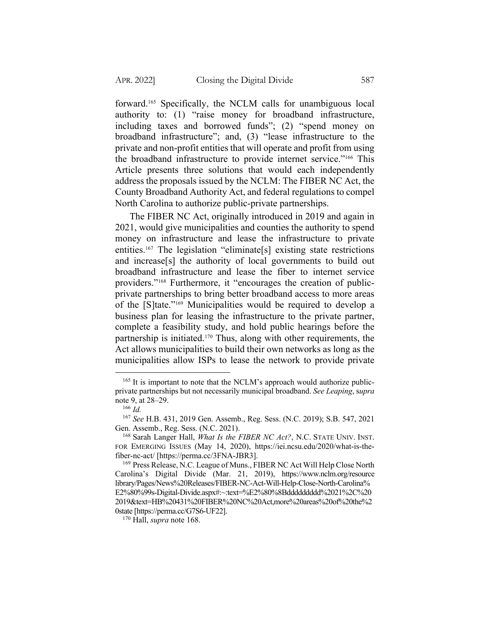forward.165 Specifically, the NCLM calls for unambiguous local authority to: (1) "raise money for broadband infrastructure, including taxes and borrowed funds"; (2) "spend money on broadband infrastructure"; and, (3) "lease infrastructure to the private and non-profit entities that will operate and profit from using the broadband infrastructure to provide internet service."166 This Article presents three solutions that would each independently address the proposals issued by the NCLM: The FIBER NC Act, the County Broadband Authority Act, and federal regulations to compel North Carolina to authorize public-private partnerships.

The FIBER NC Act, originally introduced in 2019 and again in 2021, would give municipalities and counties the authority to spend money on infrastructure and lease the infrastructure to private entities.167 The legislation "eliminate[s] existing state restrictions and increase[s] the authority of local governments to build out broadband infrastructure and lease the fiber to internet service providers."168 Furthermore, it "encourages the creation of publicprivate partnerships to bring better broadband access to more areas of the [S]tate."169 Municipalities would be required to develop a business plan for leasing the infrastructure to the private partner, complete a feasibility study, and hold public hearings before the partnership is initiated.170 Thus, along with other requirements, the Act allows municipalities to build their own networks as long as the municipalities allow ISPs to lease the network to provide private

<sup>&</sup>lt;sup>165</sup> It is important to note that the NCLM's approach would authorize publicprivate partnerships but not necessarily municipal broadband. *See Leaping*, s*upra* note 9, at 28–29.

<sup>166</sup> *Id.*

<sup>167</sup> *See* H.B. 431, 2019 Gen. Assemb., Reg. Sess. (N.C. 2019); S.B. 547, 2021 Gen. Assemb., Reg. Sess. (N.C. 2021).

<sup>168</sup> Sarah Langer Hall, *What Is the FIBER NC Act?*, N.C. STATE UNIV. INST. FOR EMERGING ISSUES (May 14, 2020), https://iei.ncsu.edu/2020/what-is-thefiber-nc-act/ [https://perma.cc/3FNA-JBR3].

<sup>169</sup> Press Release, N.C. League of Muns., FIBER NC Act Will Help Close North Carolina's Digital Divide (Mar. 21, 2019), https://www.nclm.org/resource library/Pages/News%20Releases/FIBER-NC-Act-Will-Help-Close-North-Carolina% E2%80%99s-Digital-Divide.aspx#:~:text=%E2%80%8Bddddddddd%2021%2C%20 2019&text=HB%20431%20FIBER%20NC%20Act,more%20areas%20of%20the%2 0state [https://perma.cc/G7S6-UF22].

<sup>170</sup> Hall, *supra* note 168.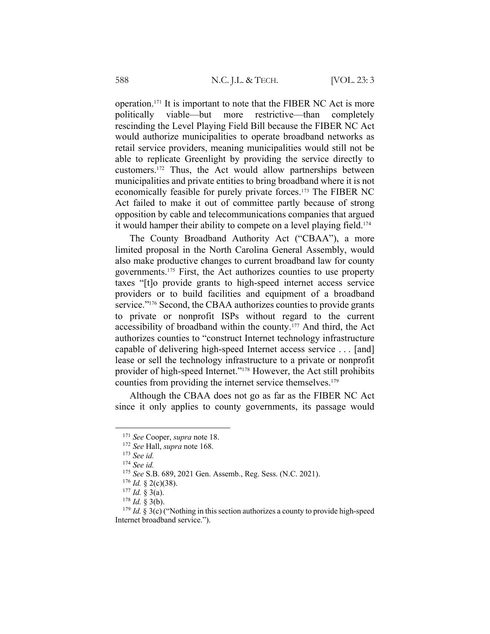operation.171 It is important to note that the FIBER NC Act is more politically viable—but more restrictive—than completely rescinding the Level Playing Field Bill because the FIBER NC Act would authorize municipalities to operate broadband networks as retail service providers, meaning municipalities would still not be able to replicate Greenlight by providing the service directly to customers.172 Thus, the Act would allow partnerships between municipalities and private entities to bring broadband where it is not economically feasible for purely private forces.173 The FIBER NC Act failed to make it out of committee partly because of strong opposition by cable and telecommunications companies that argued it would hamper their ability to compete on a level playing field.<sup>174</sup>

The County Broadband Authority Act ("CBAA"), a more limited proposal in the North Carolina General Assembly, would also make productive changes to current broadband law for county governments.175 First, the Act authorizes counties to use property taxes "[t]o provide grants to high-speed internet access service providers or to build facilities and equipment of a broadband service."<sup>176</sup> Second, the CBAA authorizes counties to provide grants to private or nonprofit ISPs without regard to the current accessibility of broadband within the county.177 And third, the Act authorizes counties to "construct Internet technology infrastructure capable of delivering high-speed Internet access service . . . [and] lease or sell the technology infrastructure to a private or nonprofit provider of high-speed Internet."178 However, the Act still prohibits counties from providing the internet service themselves.<sup>179</sup>

Although the CBAA does not go as far as the FIBER NC Act since it only applies to county governments, its passage would

<sup>171</sup> *See* Cooper, *supra* note 18.

<sup>172</sup> *See* Hall, *supra* note 168.

<sup>173</sup> *See id.*

<sup>174</sup> *See id.*

<sup>175</sup> *See* S.B. 689, 2021 Gen. Assemb., Reg. Sess. (N.C. 2021).

<sup>176</sup> *Id.* § 2(c)(38).

 $177$  *Id.* § 3(a).

 $178$  *Id.* § 3(b).

<sup>&</sup>lt;sup>179</sup> *Id.* § 3(c) ("Nothing in this section authorizes a county to provide high-speed Internet broadband service.").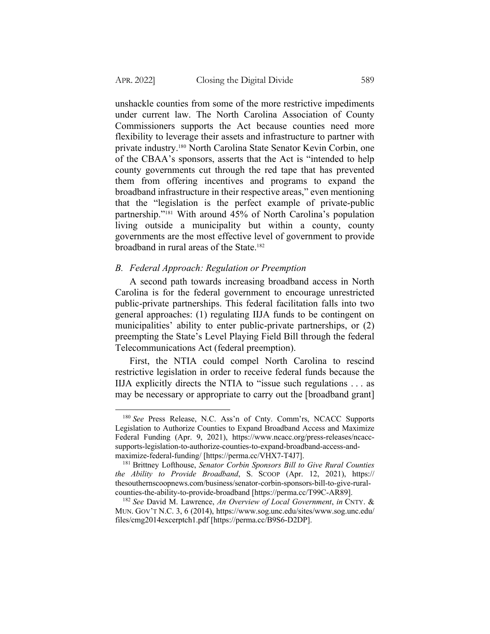unshackle counties from some of the more restrictive impediments under current law. The North Carolina Association of County Commissioners supports the Act because counties need more flexibility to leverage their assets and infrastructure to partner with private industry.180 North Carolina State Senator Kevin Corbin, one of the CBAA's sponsors, asserts that the Act is "intended to help county governments cut through the red tape that has prevented them from offering incentives and programs to expand the broadband infrastructure in their respective areas," even mentioning that the "legislation is the perfect example of private-public partnership."181 With around 45% of North Carolina's population living outside a municipality but within a county, county governments are the most effective level of government to provide broadband in rural areas of the State.182

## *B. Federal Approach: Regulation or Preemption*

A second path towards increasing broadband access in North Carolina is for the federal government to encourage unrestricted public-private partnerships. This federal facilitation falls into two general approaches: (1) regulating IIJA funds to be contingent on municipalities' ability to enter public-private partnerships, or (2) preempting the State's Level Playing Field Bill through the federal Telecommunications Act (federal preemption).

First, the NTIA could compel North Carolina to rescind restrictive legislation in order to receive federal funds because the IIJA explicitly directs the NTIA to "issue such regulations . . . as may be necessary or appropriate to carry out the [broadband grant]

<sup>180</sup> *See* Press Release, N.C. Ass'n of Cnty. Comm'rs, NCACC Supports Legislation to Authorize Counties to Expand Broadband Access and Maximize Federal Funding (Apr. 9, 2021), https://www.ncacc.org/press-releases/ncaccsupports-legislation-to-authorize-counties-to-expand-broadband-access-andmaximize-federal-funding/ [https://perma.cc/VHX7-T4J7].

<sup>181</sup> Brittney Lofthouse, *Senator Corbin Sponsors Bill to Give Rural Counties the Ability to Provide Broadband*, S. SCOOP (Apr. 12, 2021), https:// thesouthernscoopnews.com/business/senator-corbin-sponsors-bill-to-give-ruralcounties-the-ability-to-provide-broadband [https://perma.cc/T99C-AR89].

<sup>182</sup> *See* David M. Lawrence, *An Overview of Local Government*, *in* CNTY. & MUN. GOV'T N.C. 3, 6 (2014), https://www.sog.unc.edu/sites/www.sog.unc.edu/ files/cmg2014excerptch1.pdf [https://perma.cc/B9S6-D2DP].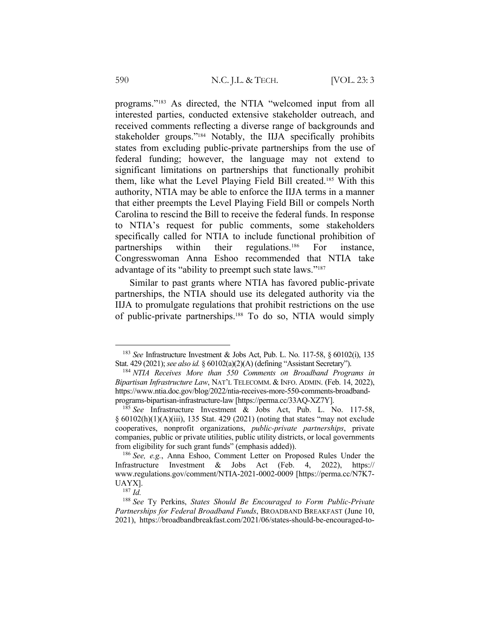programs."183 As directed, the NTIA "welcomed input from all interested parties, conducted extensive stakeholder outreach, and received comments reflecting a diverse range of backgrounds and stakeholder groups."184 Notably, the IIJA specifically prohibits states from excluding public-private partnerships from the use of federal funding; however, the language may not extend to significant limitations on partnerships that functionally prohibit them, like what the Level Playing Field Bill created.185 With this authority, NTIA may be able to enforce the IIJA terms in a manner that either preempts the Level Playing Field Bill or compels North Carolina to rescind the Bill to receive the federal funds. In response to NTIA's request for public comments, some stakeholders specifically called for NTIA to include functional prohibition of partnerships within their regulations.186 For instance, Congresswoman Anna Eshoo recommended that NTIA take advantage of its "ability to preempt such state laws."187

Similar to past grants where NTIA has favored public-private partnerships, the NTIA should use its delegated authority via the IIJA to promulgate regulations that prohibit restrictions on the use of public-private partnerships.188 To do so, NTIA would simply

<sup>183</sup> *See* Infrastructure Investment & Jobs Act, Pub. L. No. 117-58, § 60102(i), 135 Stat. 429 (2021); *see also id.* § 60102(a)(2)(A) (defining "Assistant Secretary").

<sup>184</sup> *NTIA Receives More than 550 Comments on Broadband Programs in Bipartisan Infrastructure Law*, NAT'L TELECOMM. & INFO. ADMIN. (Feb. 14, 2022), https://www.ntia.doc.gov/blog/2022/ntia-receives-more-550-comments-broadbandprograms-bipartisan-infrastructure-law [https://perma.cc/33AQ-XZ7Y].

<sup>185</sup> *See* Infrastructure Investment & Jobs Act, Pub. L. No. 117-58, § 60102(h)(1)(A)(iii), 135 Stat. 429 (2021) (noting that states "may not exclude cooperatives, nonprofit organizations, *public-private partnerships*, private companies, public or private utilities, public utility districts, or local governments from eligibility for such grant funds" (emphasis added)).

<sup>186</sup> *See, e.g.*, Anna Eshoo, Comment Letter on Proposed Rules Under the Infrastructure Investment & Jobs Act (Feb. 4, 2022), https:// www.regulations.gov/comment/NTIA-2021-0002-0009 [https://perma.cc/N7K7- UAYX].

<sup>187</sup> *Id.*

<sup>188</sup> *See* Ty Perkins, *States Should Be Encouraged to Form Public-Private Partnerships for Federal Broadband Funds*, BROADBAND BREAKFAST (June 10, 2021), https://broadbandbreakfast.com/2021/06/states-should-be-encouraged-to-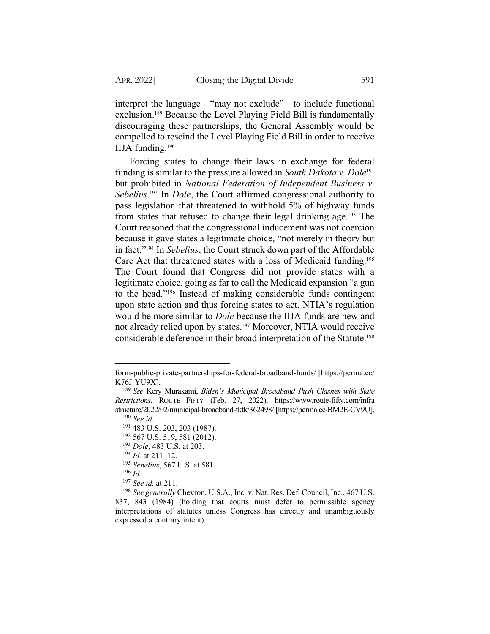interpret the language—"may not exclude"—to include functional exclusion.189 Because the Level Playing Field Bill is fundamentally discouraging these partnerships, the General Assembly would be compelled to rescind the Level Playing Field Bill in order to receive IIJA funding.190

Forcing states to change their laws in exchange for federal funding is similar to the pressure allowed in *South Dakota v. Dole*<sup>191</sup> but prohibited in *National Federation of Independent Business v. Sebelius*. <sup>192</sup> In *Dole*, the Court affirmed congressional authority to pass legislation that threatened to withhold 5% of highway funds from states that refused to change their legal drinking age.193 The Court reasoned that the congressional inducement was not coercion because it gave states a legitimate choice, "not merely in theory but in fact."194 In *Sebelius*, the Court struck down part of the Affordable Care Act that threatened states with a loss of Medicaid funding.195 The Court found that Congress did not provide states with a legitimate choice, going as far to call the Medicaid expansion "a gun to the head."196 Instead of making considerable funds contingent upon state action and thus forcing states to act, NTIA's regulation would be more similar to *Dole* because the IIJA funds are new and not already relied upon by states.197 Moreover, NTIA would receive considerable deference in their broad interpretation of the Statute.198

form-public-private-partnerships-for-federal-broadband-funds/ [https://perma.cc/ K76J-YU9X].

<sup>189</sup> *See* Kery Murakami, *Biden's Municipal Broadband Push Clashes with State Restrictions*, ROUTE FIFTY (Feb. 27, 2022), https://www.route-fifty.com/infra structure/2022/02/municipal-broadband-tktk/362498/ [https://perma.cc/BM2E-CV9U]. <sup>190</sup> *See id.*

<sup>191</sup> 483 U.S. 203, 203 (1987).

<sup>192</sup> 567 U.S. 519, 581 (2012).

<sup>193</sup> *Dole*, 483 U.S. at 203.

<sup>194</sup> *Id.* at 211–12.

<sup>195</sup> *Sebelius*, 567 U.S. at 581.

<sup>196</sup> *Id.*

<sup>197</sup> *See id.* at 211.

<sup>198</sup> *See generally* Chevron, U.S.A., Inc. v. Nat. Res. Def. Council, Inc., 467 U.S. 837, 843 (1984) (holding that courts must defer to permissible agency interpretations of statutes unless Congress has directly and unambiguously expressed a contrary intent).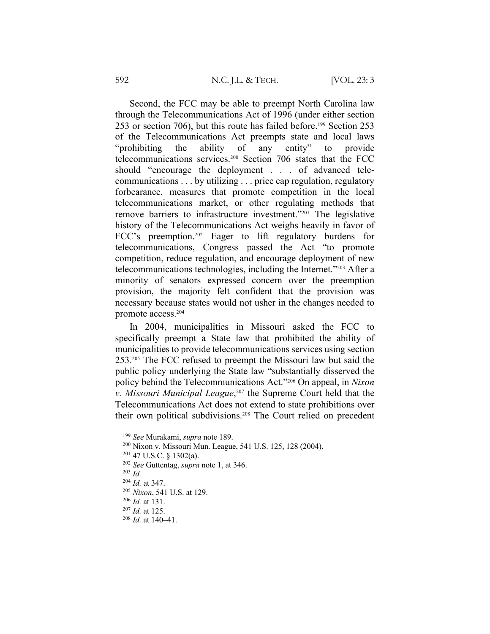Second, the FCC may be able to preempt North Carolina law through the Telecommunications Act of 1996 (under either section 253 or section 706), but this route has failed before.199 Section 253 of the Telecommunications Act preempts state and local laws "prohibiting the ability of any entity" to provide telecommunications services.200 Section 706 states that the FCC should "encourage the deployment . . . of advanced telecommunications . . . by utilizing . . . price cap regulation, regulatory forbearance, measures that promote competition in the local telecommunications market, or other regulating methods that remove barriers to infrastructure investment."201 The legislative history of the Telecommunications Act weighs heavily in favor of FCC's preemption.202 Eager to lift regulatory burdens for telecommunications, Congress passed the Act "to promote competition, reduce regulation, and encourage deployment of new telecommunications technologies, including the Internet."203 After a minority of senators expressed concern over the preemption provision, the majority felt confident that the provision was necessary because states would not usher in the changes needed to promote access.204

In 2004, municipalities in Missouri asked the FCC to specifically preempt a State law that prohibited the ability of municipalities to provide telecommunications services using section 253.205 The FCC refused to preempt the Missouri law but said the public policy underlying the State law "substantially disserved the policy behind the Telecommunications Act."206 On appeal, in *Nixon v. Missouri Municipal League*, <sup>207</sup> the Supreme Court held that the Telecommunications Act does not extend to state prohibitions over their own political subdivisions.<sup>208</sup> The Court relied on precedent

<sup>199</sup> *See* Murakami, *supra* note 189.

<sup>200</sup> Nixon v. Missouri Mun. League, 541 U.S. 125, 128 (2004).

 $201$  47 U.S.C. § 1302(a).

<sup>202</sup> *See* Guttentag, *supra* note 1, at 346.

<sup>203</sup> *Id.*

<sup>204</sup> *Id.* at 347.

<sup>205</sup> *Nixon*, 541 U.S. at 129.

<sup>206</sup> *Id.* at 131.

<sup>207</sup> *Id.* at 125.

<sup>208</sup> *Id.* at 140–41.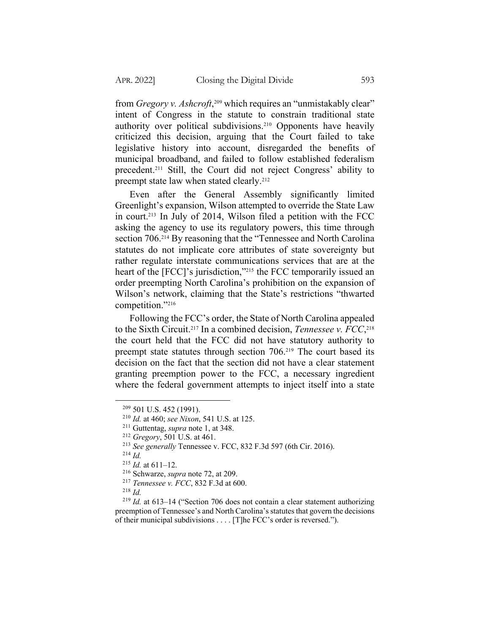from *Gregory v. Ashcroft*, <sup>209</sup> which requires an "unmistakably clear" intent of Congress in the statute to constrain traditional state authority over political subdivisions.210 Opponents have heavily criticized this decision, arguing that the Court failed to take legislative history into account, disregarded the benefits of municipal broadband, and failed to follow established federalism precedent.211 Still, the Court did not reject Congress' ability to preempt state law when stated clearly.<sup>212</sup>

Even after the General Assembly significantly limited Greenlight's expansion, Wilson attempted to override the State Law in court.213 In July of 2014, Wilson filed a petition with the FCC asking the agency to use its regulatory powers, this time through section 706.<sup>214</sup> By reasoning that the "Tennessee and North Carolina" statutes do not implicate core attributes of state sovereignty but rather regulate interstate communications services that are at the heart of the [FCC]'s jurisdiction,"<sup>215</sup> the FCC temporarily issued an order preempting North Carolina's prohibition on the expansion of Wilson's network, claiming that the State's restrictions "thwarted competition."216

Following the FCC's order, the State of North Carolina appealed to the Sixth Circuit.217 In a combined decision, *Tennessee v. FCC*, 218 the court held that the FCC did not have statutory authority to preempt state statutes through section 706.219 The court based its decision on the fact that the section did not have a clear statement granting preemption power to the FCC, a necessary ingredient where the federal government attempts to inject itself into a state

<sup>209</sup> 501 U.S. 452 (1991).

<sup>210</sup> *Id.* at 460; *see Nixon*, 541 U.S. at 125.

<sup>211</sup> Guttentag, *supra* note 1, at 348.

<sup>212</sup> *Gregory*, 501 U.S. at 461.

<sup>213</sup> *See generally* Tennessee v. FCC, 832 F.3d 597 (6th Cir. 2016).

<sup>214</sup> *Id.*

<sup>215</sup> *Id.* at 611–12.

<sup>216</sup> Schwarze, *supra* note 72, at 209.

<sup>217</sup> *Tennessee v. FCC*, 832 F.3d at 600.

<sup>218</sup> *Id.*

<sup>219</sup> *Id.* at 613–14 ("Section 706 does not contain a clear statement authorizing preemption of Tennessee's and North Carolina's statutes that govern the decisions of their municipal subdivisions . . . . [T]he FCC's order is reversed.").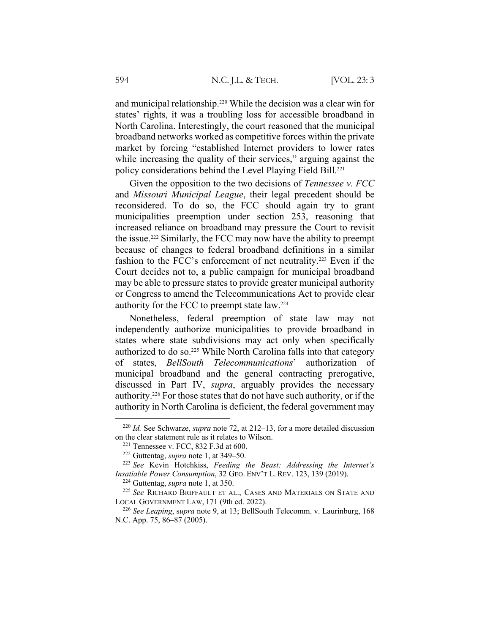and municipal relationship.220 While the decision was a clear win for states' rights, it was a troubling loss for accessible broadband in North Carolina. Interestingly, the court reasoned that the municipal broadband networks worked as competitive forces within the private market by forcing "established Internet providers to lower rates while increasing the quality of their services," arguing against the policy considerations behind the Level Playing Field Bill.221

Given the opposition to the two decisions of *Tennessee v. FCC* and *Missouri Municipal League*, their legal precedent should be reconsidered. To do so, the FCC should again try to grant municipalities preemption under section 253, reasoning that increased reliance on broadband may pressure the Court to revisit the issue.222 Similarly, the FCC may now have the ability to preempt because of changes to federal broadband definitions in a similar fashion to the FCC's enforcement of net neutrality.<sup>223</sup> Even if the Court decides not to, a public campaign for municipal broadband may be able to pressure states to provide greater municipal authority or Congress to amend the Telecommunications Act to provide clear authority for the FCC to preempt state law.224

Nonetheless, federal preemption of state law may not independently authorize municipalities to provide broadband in states where state subdivisions may act only when specifically authorized to do so.225 While North Carolina falls into that category of states, *BellSouth Telecommunications*' authorization of municipal broadband and the general contracting prerogative, discussed in Part IV, *supra*, arguably provides the necessary authority.226 For those states that do not have such authority, or if the authority in North Carolina is deficient, the federal government may

<sup>220</sup> *Id.* See Schwarze, *supra* note 72, at 212–13, for a more detailed discussion on the clear statement rule as it relates to Wilson.

<sup>221</sup> Tennessee v. FCC, 832 F.3d at 600.

<sup>222</sup> Guttentag, *supra* note 1, at 349–50.

<sup>223</sup> *See* Kevin Hotchkiss, *Feeding the Beast: Addressing the Internet's Insatiable Power Consumption*, 32 GEO. ENV'T L. REV. 123, 139 (2019).

<sup>224</sup> Guttentag, *supra* note 1, at 350.

<sup>225</sup> *See* RICHARD BRIFFAULT ET AL., CASES AND MATERIALS ON STATE AND LOCAL GOVERNMENT LAW, 171 (9th ed. 2022).

<sup>226</sup> *See Leaping*, s*upra* note 9, at 13; BellSouth Telecomm. v. Laurinburg, 168 N.C. App. 75, 86–87 (2005).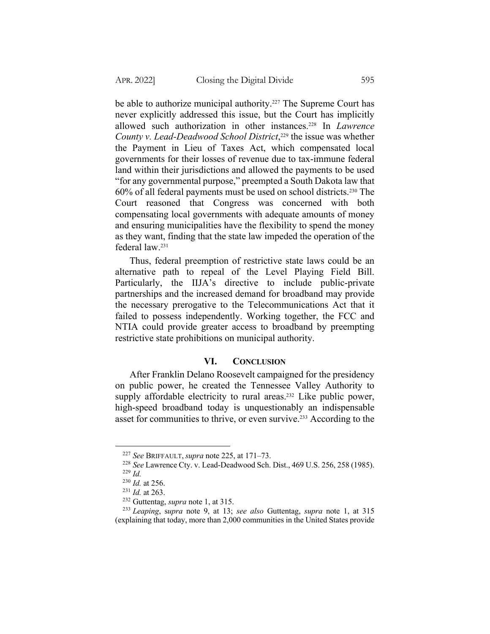be able to authorize municipal authority.<sup>227</sup> The Supreme Court has never explicitly addressed this issue, but the Court has implicitly allowed such authorization in other instances.228 In *Lawrence County v. Lead-Deadwood School District*, <sup>229</sup> the issue was whether the Payment in Lieu of Taxes Act, which compensated local governments for their losses of revenue due to tax-immune federal land within their jurisdictions and allowed the payments to be used "for any governmental purpose," preempted a South Dakota law that 60% of all federal payments must be used on school districts.230 The Court reasoned that Congress was concerned with both compensating local governments with adequate amounts of money and ensuring municipalities have the flexibility to spend the money as they want, finding that the state law impeded the operation of the federal law.231

Thus, federal preemption of restrictive state laws could be an alternative path to repeal of the Level Playing Field Bill. Particularly, the IIJA's directive to include public-private partnerships and the increased demand for broadband may provide the necessary prerogative to the Telecommunications Act that it failed to possess independently. Working together, the FCC and NTIA could provide greater access to broadband by preempting restrictive state prohibitions on municipal authority.

### **VI. CONCLUSION**

After Franklin Delano Roosevelt campaigned for the presidency on public power, he created the Tennessee Valley Authority to supply affordable electricity to rural areas.<sup>232</sup> Like public power, high-speed broadband today is unquestionably an indispensable asset for communities to thrive, or even survive.<sup>233</sup> According to the

<sup>227</sup> *See* BRIFFAULT, *supra* note 225, at 171–73.

<sup>228</sup> *See* Lawrence Cty. v. Lead-Deadwood Sch. Dist., 469 U.S. 256, 258 (1985).

<sup>229</sup> *Id.*

<sup>230</sup> *Id.* at 256.

<sup>231</sup> *Id.* at 263.

<sup>232</sup> Guttentag, *supra* note 1, at 315.

<sup>233</sup> *Leaping*, s*upra* note 9, at 13; *see also* Guttentag, *supra* note 1, at 315 (explaining that today, more than 2,000 communities in the United States provide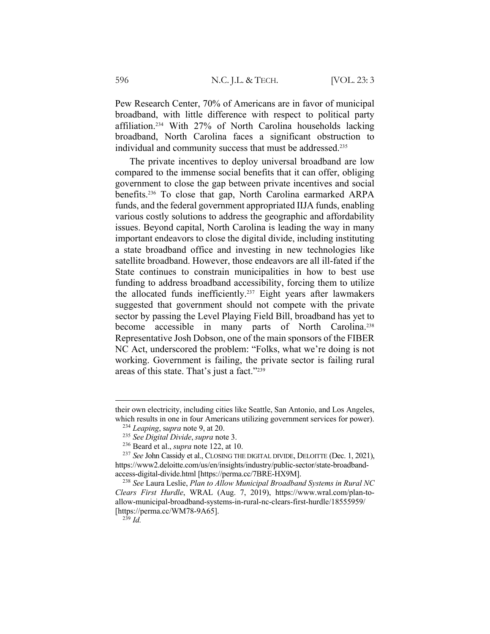Pew Research Center, 70% of Americans are in favor of municipal broadband, with little difference with respect to political party affiliation.234 With 27% of North Carolina households lacking broadband, North Carolina faces a significant obstruction to individual and community success that must be addressed.<sup>235</sup>

The private incentives to deploy universal broadband are low compared to the immense social benefits that it can offer, obliging government to close the gap between private incentives and social benefits.236 To close that gap, North Carolina earmarked ARPA funds, and the federal government appropriated IIJA funds, enabling various costly solutions to address the geographic and affordability issues. Beyond capital, North Carolina is leading the way in many important endeavors to close the digital divide, including instituting a state broadband office and investing in new technologies like satellite broadband. However, those endeavors are all ill-fated if the State continues to constrain municipalities in how to best use funding to address broadband accessibility, forcing them to utilize the allocated funds inefficiently.237 Eight years after lawmakers suggested that government should not compete with the private sector by passing the Level Playing Field Bill, broadband has yet to become accessible in many parts of North Carolina.<sup>238</sup> Representative Josh Dobson, one of the main sponsors of the FIBER NC Act, underscored the problem: "Folks, what we're doing is not working. Government is failing, the private sector is failing rural areas of this state. That's just a fact."239

their own electricity, including cities like Seattle, San Antonio, and Los Angeles, which results in one in four Americans utilizing government services for power).

<sup>234</sup> *Leaping*, s*upra* note 9, at 20.

<sup>235</sup> *See Digital Divide*, *supra* note 3.

<sup>236</sup> Beard et al., *supra* note 122, at 10.

<sup>237</sup> *See* John Cassidy et al., CLOSING THE DIGITAL DIVIDE, DELOITTE (Dec. 1, 2021), https://www2.deloitte.com/us/en/insights/industry/public-sector/state-broadbandaccess-digital-divide.html [https://perma.cc/7BRE-HX9M].

<sup>238</sup> *See* Laura Leslie, *Plan to Allow Municipal Broadband Systems in Rural NC Clears First Hurdle*, WRAL (Aug. 7, 2019), https://www.wral.com/plan-toallow-municipal-broadband-systems-in-rural-nc-clears-first-hurdle/18555959/ [https://perma.cc/WM78-9A65].

<sup>239</sup> *Id.*